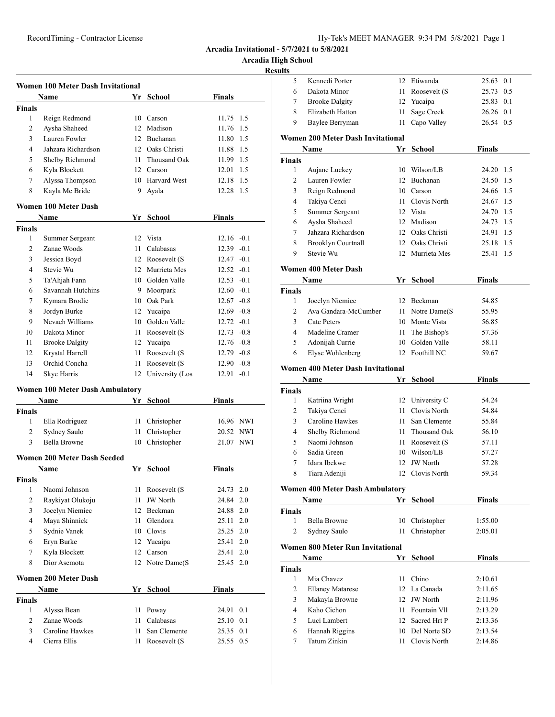**Arcadia High School**

|                | <b>Women 100 Meter Dash Invitational</b> |      |                    |               |
|----------------|------------------------------------------|------|--------------------|---------------|
|                | Name                                     |      | Yr School          | <b>Finals</b> |
| <b>Finals</b>  |                                          |      |                    |               |
| 1              | Reign Redmond                            |      | 10 Carson          | 11.75 1.5     |
| $\overline{c}$ | Aysha Shaheed                            |      | 12 Madison         | 11.76<br>1.5  |
| 3              | Lauren Fowler                            |      | 12 Buchanan        | 11.80 1.5     |
| $\overline{4}$ | Jahzara Richardson                       |      | 12 Oaks Christi    | 11.88 1.5     |
| 5              | Shelby Richmond                          |      | 11 Thousand Oak    | 11.99 1.5     |
| 6              | Kyla Blockett                            |      | 12 Carson          | 12.01 1.5     |
| 7              | Alyssa Thompson                          |      | 10 Harvard West    | 12.18 1.5     |
| 8              | Kayla Mc Bride                           |      | 9 Ayala            | 12.28 1.5     |
|                |                                          |      |                    |               |
|                | <b>Women 100 Meter Dash</b>              |      |                    |               |
|                | Name                                     |      | Yr School          | <b>Finals</b> |
| <b>Finals</b>  |                                          |      |                    |               |
| 1              | Summer Sergeant                          |      | 12 Vista           | $12.16 - 0.1$ |
| $\overline{c}$ | Zanae Woods                              |      | 11 Calabasas       | $12.39 - 0.1$ |
| 3              | Jessica Boyd                             |      | 12 Roosevelt (S    | $12.47 - 0.1$ |
| 4              | Stevie Wu                                |      | 12 Murrieta Mes    | $12.52 - 0.1$ |
| 5              | Ta'Ahjah Fann                            |      | 10 Golden Valle    | $12.53 - 0.1$ |
| 6              | Savannah Hutchins                        |      | 9 Moorpark         | $12.60 - 0.1$ |
| 7              | Kymara Brodie                            |      | 10 Oak Park        | $12.67 - 0.8$ |
| 8              | Jordyn Burke                             |      | 12 Yucaipa         | $12.69 - 0.8$ |
| 9              | Nevaeh Williams                          |      | 10 Golden Valle    | $12.72 - 0.1$ |
| 10             | Dakota Minor                             |      | 11 Roosevelt (S    | $12.73 - 0.8$ |
| 11             | <b>Brooke Dalgity</b>                    |      | 12 Yucaipa         | $12.76 - 0.8$ |
| 12             | Krystal Harrell                          |      | 11 Roosevelt (S    | 12.79 -0.8    |
| 13             | Orchid Concha                            |      | 11 Roosevelt (S    | $12.90 -0.8$  |
| 14             | Skye Harris                              |      | 12 University (Los | $12.91 - 0.1$ |
|                | <b>Women 100 Meter Dash Ambulatory</b>   |      |                    |               |
|                | Name                                     | Yr   | School             | Finals        |
| <b>Finals</b>  |                                          |      |                    |               |
| 1              | Ella Rodriguez                           |      | 11 Christopher     | 16.96 NWI     |
| 2              | Sydney Saulo                             | 11 - | Christopher        | 20.52 NWI     |
| 3              | Bella Browne                             |      | 10 Christopher     | 21.07 NWI     |
|                |                                          |      |                    |               |
|                | Women 200 Meter Dash Seeded              |      |                    |               |
|                | Name                                     |      | Yr School          | <b>Finals</b> |
| <b>Finals</b>  |                                          |      |                    |               |
| 1              | Naomi Johnson                            | 11   | Roosevelt (S       | 24.73<br>2.0  |
| 2              | Raykiyat Olukoju                         | 11   | <b>JW</b> North    | 24.84<br>2.0  |
| 3              | Jocelyn Niemiec                          |      | 12 Beckman         | 24.88<br>2.0  |
| 4              | Maya Shinnick                            | 11   | Glendora           | 25.11 2.0     |
| 5              | Sydnie Vanek                             |      | 10 Clovis          | 25.25 2.0     |
| 6              | Eryn Burke                               |      | 12 Yucaipa         | 25.41 2.0     |
| 7              | Kyla Blockett                            | 12   | Carson             | 25.41 2.0     |
| 8              | Dior Asemota                             |      | 12 Notre Dame(S    | 2.0<br>25.45  |
|                | Women 200 Meter Dash                     |      |                    |               |
|                | Name                                     | Yr   | School             | Finals        |
| <b>Finals</b>  |                                          |      |                    |               |
| 1              | Alyssa Bean                              | 11   | Poway              | 24.91<br>0.1  |
| $\overline{c}$ | Zanae Woods                              | 11   | Calabasas          | 25.10 0.1     |
| 3              | Caroline Hawkes                          | 11 - | San Clemente       | 25.35 0.1     |
| 4              | Cierra Ellis                             | 11   | Roosevelt (S       | 25.55 0.5     |
|                |                                          |      |                    |               |

| lts          |                                          |    |                  |               |  |
|--------------|------------------------------------------|----|------------------|---------------|--|
| 5            | Kennedi Porter                           |    | 12 Etiwanda      | 25.63 0.1     |  |
| 6            | Dakota Minor                             |    | 11 Roosevelt (S  | 25.73 0.5     |  |
| 7            | <b>Brooke Dalgity</b>                    |    | 12 Yucaipa       | 25.83 0.1     |  |
| 8            | Elizabeth Hatton                         | 11 | Sage Creek       | 26.26 0.1     |  |
| 9            | Baylee Berryman                          | 11 | Capo Valley      | 26.54 0.5     |  |
|              | <b>Women 200 Meter Dash Invitational</b> |    |                  |               |  |
|              | Name                                     | Yr | School           | <b>Finals</b> |  |
| Finals       |                                          |    |                  |               |  |
| 1            | Aujane Luckey                            |    | 10 Wilson/LB     | 24.20 1.5     |  |
| $\mathbf{2}$ | Lauren Fowler                            | 12 | Buchanan         | 24.50<br>1.5  |  |
| 3            | Reign Redmond                            |    | 10 Carson        | 24.66<br>1.5  |  |
| 4            | Takiya Cenci                             |    | 11 Clovis North  | 24.67 1.5     |  |
| 5            | Summer Sergeant                          |    | 12 Vista         | 1.5<br>24.70  |  |
| 6            | Aysha Shaheed                            |    | 12 Madison       | 1.5<br>24.73  |  |
| 7            | Jahzara Richardson                       |    | 12 Oaks Christi  | 1.5<br>24.91  |  |
| 8            | <b>Brooklyn Courtnall</b>                |    | 12 Oaks Christi  | 1.5<br>25.18  |  |
| 9            | Stevie Wu                                |    | 12 Murrieta Mes  | 25.41<br>1.5  |  |
|              | Women 400 Meter Dash                     |    |                  |               |  |
|              | Name                                     |    | Yr School        | <b>Finals</b> |  |
| Finals       |                                          |    |                  |               |  |
| 1            | Jocelyn Niemiec                          |    | 12 Beckman       | 54.85         |  |
| 2            | Ava Gandara-McCumber                     |    | 11 Notre Dame(S) | 55.95         |  |
| 3            | Cate Peters                              |    | 10 Monte Vista   | 56.85         |  |
| 4            | Madeline Cramer                          | 11 | The Bishop's     | 57.36         |  |
| 5            | Adonijah Currie                          |    | 10 Golden Valle  | 58.11         |  |
| 6            | Elyse Wohlenberg                         |    | 12 Foothill NC   | 59.67         |  |
|              | Women 400 Meter Dash Invitational        |    |                  |               |  |
|              | <b>Name</b>                              | Yr | School           | <b>Finals</b> |  |
| Finals       |                                          |    |                  |               |  |
| 1            | Katriina Wright                          |    | 12 University C  | 54.24         |  |
| 2            | Takiya Cenci                             |    | 11 Clovis North  | 54.84         |  |
| 3            | Caroline Hawkes                          |    | 11 San Clemente  | 55.84         |  |
| 4            | Shelby Richmond                          |    | 11 Thousand Oak  | 56.10         |  |
| 5            | Naomi Johnson                            |    | 11 Roosevelt (S  | 57.11         |  |
| 6            | Sadia Green                              |    | 10 Wilson/LB     | 57.27         |  |
| 7            | Idara Ibekwe                             | 12 | <b>JW</b> North  | 57.28         |  |
| 8            | Tiara Adeniji                            |    | 12 Clovis North  | 59.34         |  |
|              |                                          |    |                  |               |  |
|              | Women 400 Meter Dash Ambulatory<br>Name  | Yr | <b>School</b>    | <b>Finals</b> |  |
| Finals       |                                          |    |                  |               |  |
| 1            | Bella Browne                             |    | 10 Christopher   | 1:55.00       |  |
| 2            | Sydney Saulo                             | 11 | Christopher      | 2:05.01       |  |
|              |                                          |    |                  |               |  |
|              | Women 800 Meter Run Invitational         |    |                  |               |  |
|              | Name                                     | Yr | School           | Finals        |  |
| Finals<br>1  | Mia Chavez                               | 11 | Chino            | 2:10.61       |  |
|              | <b>Ellaney Matarese</b>                  |    | 12 La Canada     | 2:11.65       |  |
|              |                                          |    |                  |               |  |
| 2            |                                          |    |                  |               |  |
| 3            | Makayla Browne                           |    | 12 JW North      | 2:11.96       |  |
| 4            | Kaho Cichon                              |    | 11 Fountain Vll  | 2:13.29       |  |
| 5            | Luci Lambert                             |    | 12 Sacred Hrt P  | 2:13.36       |  |
| 6            | Hannah Riggins                           |    | 10 Del Norte SD  | 2:13.54       |  |
| 7            | Tatum Zinkin                             |    | 11 Clovis North  | 2:14.86       |  |
|              |                                          |    |                  |               |  |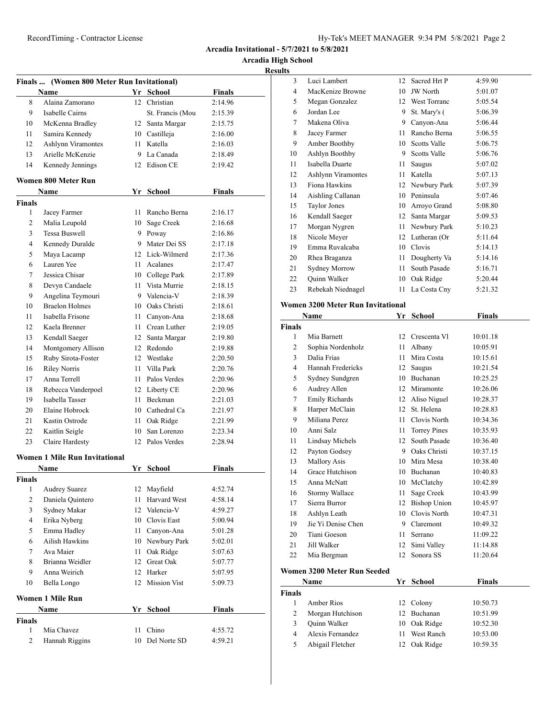**Arcadia High School**

**Results**

|                          | Finals  (Women 800 Meter Run Invitational) |      |                     |               |
|--------------------------|--------------------------------------------|------|---------------------|---------------|
|                          | Name                                       |      | Yr School           | <b>Finals</b> |
| 8                        | Alaina Zamorano                            |      | 12 Christian        | 2:14.96       |
| 9                        | Isabelle Cairns                            |      | St. Francis (Mou    | 2:15.39       |
| 10                       | McKenna Bradley                            |      | 12 Santa Margar     | 2:15.75       |
| 11                       | Samira Kennedy                             |      | 10 Castilleja       | 2:16.00       |
| 12                       | <b>Ashlynn Viramontes</b>                  |      | 11 Katella          | 2:16.03       |
| 13                       | Arielle McKenzie                           |      | 9 La Canada         | 2:18.49       |
| 14                       | Kennedy Jennings                           |      | 12 Edison CE        | 2:19.42       |
|                          |                                            |      |                     |               |
|                          | Women 800 Meter Run                        |      |                     |               |
|                          | Name                                       |      | Yr School           | <b>Finals</b> |
| Finals                   |                                            |      |                     |               |
| 1                        | Jacey Farmer                               |      | 11 Rancho Berna     | 2:16.17       |
| 2                        | Malia Leupold                              | 10   | Sage Creek          | 2:16.68       |
| 3                        | <b>Tessa Buswell</b>                       |      | 9 Poway             | 2:16.86       |
| $\overline{4}$           | Kennedy Duralde                            |      | 9 Mater Dei SS      | 2:17.18       |
| 5                        | Maya Lacamp                                |      | 12 Lick-Wilmerd     | 2:17.36       |
| 6                        | Lauren Yee                                 |      | 11 Acalanes         | 2:17.47       |
| 7                        | Jessica Chisar                             |      | 10 College Park     | 2:17.89       |
| 8                        | Devyn Candaele                             |      | 11 Vista Murrie     | 2:18.15       |
| 9                        | Angelina Teymouri                          |      | 9 Valencia-V        | 2:18.39       |
| 10                       | <b>Braelon Holmes</b>                      |      | 10 Oaks Christi     | 2:18.61       |
| 11                       | Isabella Frisone                           |      | 11 Canyon-Ana       | 2:18.68       |
| 12                       | Kaela Brenner                              |      | 11 Crean Luther     | 2:19.05       |
| 13                       | Kendall Saeger                             |      | 12 Santa Margar     | 2:19.80       |
| 14                       | Montgomery Allison                         |      | 12 Redondo          | 2:19.88       |
| 15                       | Ruby Sirota-Foster                         |      | 12 Westlake         | 2:20.50       |
| 16                       | <b>Riley Norris</b>                        |      | 11 Villa Park       | 2:20.76       |
| 17                       | Anna Terrell                               |      | 11 Palos Verdes     | 2:20.96       |
| 18                       | Rebecca Vanderpoel                         |      | 12 Liberty CE       | 2:20.96       |
| 19                       | Isabella Tasser                            |      | 11 Beckman          | 2:21.03       |
| 20                       | Elaine Hobrock                             |      | 10 Cathedral Ca     | 2:21.97       |
| 21                       | Kastin Ostrode                             |      | 11 Oak Ridge        | 2:21.99       |
| 22                       | Kaitlin Seigle                             |      | 10 San Lorenzo      | 2:23.34       |
| 23                       | Claire Hardesty                            |      | 12 Palos Verdes     | 2:28.94       |
|                          | <b>Women 1 Mile Run Invitational</b>       |      |                     |               |
|                          | Name                                       |      | Yr School           | Finals        |
| Finals                   |                                            |      |                     |               |
| 1                        | <b>Audrey Suarez</b>                       |      | 12 Mayfield         | 4:52.74       |
| $\overline{c}$           | Daniela Quintero                           | 11   | Harvard West        | 4:58.14       |
| 3                        | Sydney Makar                               | 12   | Valencia-V          | 4:59.27       |
| $\overline{\mathcal{L}}$ | Erika Nyberg                               |      | 10 Clovis East      | 5:00.94       |
| 5                        | Emma Hadley                                | 11 - | Canyon-Ana          | 5:01.28       |
| 6                        | Ailish Hawkins                             | 10   | Newbury Park        | 5:02.01       |
| 7                        | Ava Maier                                  | 11   | Oak Ridge           | 5:07.63       |
| 8                        | Brianna Weidler                            | 12   | Great Oak           | 5:07.77       |
| 9                        | Anna Weirich                               | 12   | Harker              | 5:07.95       |
| 10                       | Bella Longo                                | 12   | <b>Mission Vist</b> | 5:09.73       |
|                          |                                            |      |                     |               |
|                          | Women 1 Mile Run                           |      |                     |               |
|                          | Name                                       |      | Yr School           | <b>Finals</b> |
| Finals                   |                                            |      |                     |               |
| $\mathbf{1}$             | Mia Chavez                                 | 11   | Chino               | 4:55.72       |
| 2                        | Hannah Riggins                             | 10   | Del Norte SD        | 4:59.21       |
|                          |                                            |      |                     |               |

| 3  | Luci Lambert              | 12 | Sacred Hrt P        | 4:59.90 |
|----|---------------------------|----|---------------------|---------|
| 4  | MacKenize Browne          | 10 | <b>JW</b> North     | 5:01.07 |
| 5  | Megan Gonzalez            | 12 | <b>West Torranc</b> | 5:05.54 |
| 6  | Jordan Lee                | 9  | St. Mary's (        | 5:06.39 |
| 7  | Makena Oliva              | 9  | Canyon-Ana          | 5:06.44 |
| 8  | Jacey Farmer              | 11 | Rancho Berna        | 5:06.55 |
| 9  | Amber Boothby             | 10 | <b>Scotts Valle</b> | 5:06.75 |
| 10 | Ashlyn Boothby            | 9  | Scotts Valle        | 5:06.76 |
| 11 | Isabella Duarte           | 11 | Saugus              | 5:07.02 |
| 12 | <b>Ashlynn Viramontes</b> | 11 | Katella             | 5:07.13 |
| 13 | Fiona Hawkins             | 12 | Newbury Park        | 5:07.39 |
| 14 | Aishling Callanan         | 10 | Peninsula           | 5:07.46 |
| 15 | <b>Taylor Jones</b>       | 10 | Arroyo Grand        | 5:08.80 |
| 16 | Kendall Saeger            | 12 | Santa Margar        | 5:09.53 |
| 17 | Morgan Nygren             | 11 | Newbury Park        | 5:10.23 |
| 18 | Nicole Meyer              | 12 | Lutheran (Or        | 5:11.64 |
| 19 | Emma Ruvalcaba            | 10 | Clovis              | 5:14.13 |
| 20 | Rhea Braganza             | 11 | Dougherty Va        | 5:14.16 |
| 21 | <b>Sydney Morrow</b>      | 11 | South Pasade        | 5:16.71 |
| 22 | Quinn Walker              | 10 | Oak Ridge           | 5:20.44 |
| 23 | Rebekah Niednagel         | 11 | La Costa Cny        | 5:21.32 |
|    |                           |    |                     |         |

# **Women 3200 Meter Run Invitational**

|                | Name                   | Yr | <b>School</b>       | Finals   |
|----------------|------------------------|----|---------------------|----------|
| <b>Finals</b>  |                        |    |                     |          |
| 1              | Mia Barnett            | 12 | Crescenta VI        | 10:01.18 |
| $\overline{c}$ | Sophia Nordenholz      | 11 | Albany              | 10:05.91 |
| 3              | Dalia Frias            | 11 | Mira Costa          | 10:15.61 |
| 4              | Hannah Fredericks      | 12 | Saugus              | 10:21.54 |
| 5              | Sydney Sundgren        | 10 | <b>Buchanan</b>     | 10:25.25 |
| 6              | Audrey Allen           | 12 | Miramonte           | 10:26.06 |
| 7              | <b>Emily Richards</b>  | 12 | Aliso Niguel        | 10:28.37 |
| 8              | Harper McClain         | 12 | St. Helena          | 10:28.83 |
| 9              | Miliana Perez          | 11 | Clovis North        | 10:34.36 |
| 10             | Anni Salz              | 11 | Torrey Pines        | 10:35.93 |
| 11             | <b>Lindsay Michels</b> | 12 | South Pasade        | 10:36.40 |
| 12             | Payton Godsey          | 9  | Oaks Christi        | 10:37.15 |
| 13             | Mallory Asis           | 10 | Mira Mesa           | 10:38.40 |
| 14             | Grace Hutchison        | 10 | <b>Buchanan</b>     | 10:40.83 |
| 15             | Anna McNatt            | 10 | McClatchy           | 10:42.89 |
| 16             | Stormy Wallace         | 11 | Sage Creek          | 10:43.99 |
| 17             | Sierra Burror          | 12 | <b>Bishop Union</b> | 10:45.97 |
| 18             | Ashlyn Leath           | 10 | Clovis North        | 10:47.31 |
| 19             | Jie Yi Denise Chen     | 9  | Claremont           | 10:49.32 |
| 20             | Tiani Goeson           | 11 | Serrano             | 11:09.22 |
| 21             | Jill Walker            | 12 | Simi Valley         | 11:14.88 |
| 22             | Mia Bergman            | 12 | Sonora SS           | 11:20.64 |
|                |                        |    |                     |          |

#### **Women 3200 Meter Run Seeded**

|               | Name             |                  | Yr School  | <b>Finals</b> |  |
|---------------|------------------|------------------|------------|---------------|--|
| <b>Finals</b> |                  |                  |            |               |  |
|               | Amber Rios       |                  | 12 Colony  | 10:50.73      |  |
| 2             | Morgan Hutchison | 12 <sup>12</sup> | Buchanan   | 10:51.99      |  |
| 3             | Quinn Walker     | 10               | Oak Ridge  | 10:52.30      |  |
| 4             | Alexis Fernandez |                  | West Ranch | 10:53.00      |  |
| 5             | Abigail Fletcher |                  | Oak Ridge  | 10:59.35      |  |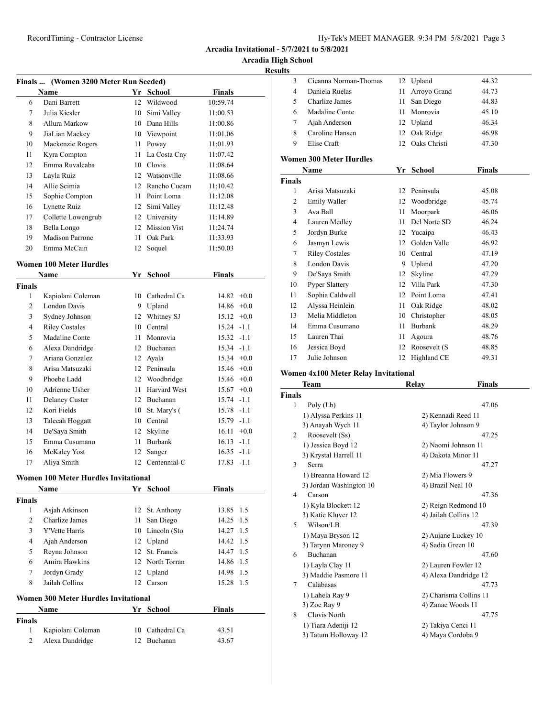**Arcadia High School**

#### **Results**

|                | Finals  (Women 3200 Meter Run Seeded) |        |                 |               |
|----------------|---------------------------------------|--------|-----------------|---------------|
|                | Name                                  |        | Yr School       | <b>Finals</b> |
| 6              | Dani Barrett                          |        | 12 Wildwood     | 10:59.74      |
| 7              | Julia Kiesler                         |        | 10 Simi Valley  | 11:00.53      |
| 8              | Allura Markow                         |        | 10 Dana Hills   | 11:00.86      |
| 9              | JiaLian Mackey                        |        | 10 Viewpoint    | 11:01.06      |
| 10             | Mackenzie Rogers                      | 11     | Poway           | 11:01.93      |
| 11             | Kyra Compton                          | 11     | La Costa Cny    | 11:07.42      |
| 12             | Emma Ruvalcaba                        |        | 10 Clovis       | 11:08.64      |
| 13             | Layla Ruiz                            |        | 12 Watsonville  | 11:08.66      |
| 14             | Allie Scimia                          | 12     | Rancho Cucam    | 11:10.42      |
| 15             | Sophie Compton                        | 11     | Point Loma      | 11:12.08      |
| 16             | Lynette Ruiz                          |        | 12 Simi Valley  | 11:12.48      |
| 17             | Collette Lowengrub                    |        | 12 University   | 11:14.89      |
| 18             | Bella Longo                           |        | 12 Mission Vist | 11:24.74      |
| 19             | <b>Madison Parrone</b>                | 11     | Oak Park        | 11:33.93      |
| 20             | Emma McCain                           |        | 12 Soquel       | 11:50.03      |
|                | <b>Women 100 Meter Hurdles</b>        |        |                 |               |
|                | <b>Name</b>                           |        | Yr School       | Finals        |
| <b>Finals</b>  |                                       |        |                 |               |
| 1              | Kapiolani Coleman                     |        | 10 Cathedral Ca | $14.82 +0.0$  |
| 2              | London Davis                          | 9.     | Upland          | $14.86 + 0.0$ |
| 3              | Sydney Johnson                        | 12     | Whitney SJ      | $15.12 +0.0$  |
| 4              | <b>Riley Costales</b>                 | 10     | Central         | $15.24 -1.1$  |
| 5              | Madaline Conte                        | 11     | Monrovia        | $15.32 -1.1$  |
| 6              | Alexa Dandridge                       |        | 12 Buchanan     | $15.34 -1.1$  |
| 7              | Ariana Gonzalez                       |        | 12 Ayala        | $15.34 +0.0$  |
| 8              | Arisa Matsuzaki                       |        | 12 Peninsula    | $15.46 +0.0$  |
| 9              | Phoebe Ladd                           |        | 12 Woodbridge   | $15.46 +0.0$  |
| 10             | Adrienne Usher                        | 11     | Harvard West    | $15.67 +0.0$  |
| 11             | Delaney Custer                        |        | 12 Buchanan     | $15.74 -1.1$  |
| 12             | Kori Fields                           | 10     | St. Mary's (    | $15.78 - 1.1$ |
| 13             | Taleeah Hoggatt                       |        | 10 Central      | $15.79 - 1.1$ |
| 14             | De'Saya Smith                         | 12     | Skyline         | $16.11 + 0.0$ |
| 15             | Emma Cusumano                         | 11     | Burbank         | $16.13 - 1.1$ |
| 16             | McKaley Yost                          | 12     | Sanger          | $16.35 -1.1$  |
| 17             | Aliya Smith                           |        | 12 Centennial-C | $17.83 - 1.1$ |
|                | Women 100 Meter Hurdles Invitational  |        |                 |               |
|                | Name                                  |        | Yr School       | <b>Finals</b> |
| Finals         |                                       |        |                 |               |
| 1              | Asjah Atkinson                        | 12     | St. Anthony     | 1.5<br>13.85  |
| $\overline{c}$ | Charlize James                        | 11     | San Diego       | 14.25<br>1.5  |
| 3              | Y'Vette Harris                        | 10     | Lincoln (Sto    | 14.27<br>1.5  |
| 4              | Ajah Anderson                         | $12\,$ | Upland          | 14.42<br>1.5  |
| 5              | Reyna Johnson                         | 12     | St. Francis     | 14.47<br>1.5  |
| 6              | Amira Hawkins                         | 12     | North Torran    | 1.5<br>14.86  |
| $\tau$         | Jordyn Grady                          | 12     | Upland          | 1.5<br>14.98  |

# **Women 300 Meter Hurdles Invitational**

|               | Name              | Yr School       | <b>Finals</b> |  |
|---------------|-------------------|-----------------|---------------|--|
| <b>Finals</b> |                   |                 |               |  |
|               | Kapiolani Coleman | 10 Cathedral Ca | 43.51         |  |
|               | Alexa Dandridge   | 12 Buchanan     | 43.67         |  |

Jailah Collins 12 Carson 15.28 1.5

| л. |                       |    |                 |       |  |
|----|-----------------------|----|-----------------|-------|--|
| 3  | Cieanna Norman-Thomas |    | 12 Upland       | 44.32 |  |
| 4  | Daniela Ruelas        |    | 11 Arroyo Grand | 44.73 |  |
| 5  | Charlize James        |    | 11 San Diego    | 44.83 |  |
| 6  | Madaline Conte        | 11 | Monrovia        | 45.10 |  |
|    | Ajah Anderson         |    | 12 Upland       | 46.34 |  |
| 8  | Caroline Hansen       |    | 12 Oak Ridge    | 46.98 |  |
| 9  | Elise Craft           |    | 12 Oaks Christi | 47.30 |  |
|    |                       |    |                 |       |  |

#### **Women 300 Meter Hurdles**

|        | Name                  | Yr | <b>School</b> | Finals |
|--------|-----------------------|----|---------------|--------|
| Finals |                       |    |               |        |
| 1      | Arisa Matsuzaki       | 12 | Peninsula     | 45.08  |
| 2      | Emily Waller          | 12 | Woodbridge    | 45.74  |
| 3      | Ava Ball              | 11 | Moorpark      | 46.06  |
| 4      | Lauren Medley         | 11 | Del Norte SD  | 46.24  |
| 5      | Jordyn Burke          | 12 | Yucaipa       | 46.43  |
| 6      | Jasmyn Lewis          | 12 | Golden Valle  | 46.92  |
| 7      | <b>Riley Costales</b> | 10 | Central       | 47.19  |
| 8      | London Davis          | 9  | Upland        | 47.20  |
| 9      | De'Saya Smith         | 12 | Skyline       | 47.29  |
| 10     | <b>Pyper Slattery</b> | 12 | Villa Park    | 47.30  |
| 11     | Sophia Caldwell       | 12 | Point Loma    | 47.41  |
| 12     | Alyssa Heinlein       | 11 | Oak Ridge     | 48.02  |
| 13     | Melia Middleton       | 10 | Christopher   | 48.05  |
| 14     | Emma Cusumano         | 11 | Burbank       | 48.29  |
| 15     | Lauren Thai           | 11 | Agoura        | 48.76  |
| 16     | Jessica Boyd          | 12 | Roosevelt (S  | 48.85  |
| 17     | Julie Johnson         | 12 | Highland CE   | 49.31  |

#### **Women 4x100 Meter Relay Invitational**

|                | Team                    | Relay             | Finals                 |
|----------------|-------------------------|-------------------|------------------------|
| <b>Finals</b>  |                         |                   |                        |
| 1              | Poly (Lb)               |                   | 47.06                  |
|                | 1) Alyssa Perkins 11    |                   | 2) Kennadi Reed 11     |
|                | 3) Anayah Wych 11       |                   | 4) Taylor Johnson 9    |
| $\mathfrak{D}$ | Roosevelt (Ss)          |                   | 47.25                  |
|                | 1) Jessica Boyd 12      |                   | 2) Naomi Johnson 11    |
|                | 3) Krystal Harrell 11   |                   | 4) Dakota Minor 11     |
| 3              | Serra                   |                   | 47.27                  |
|                | 1) Breanna Howard 12    | 2) Mia Flowers 9  |                        |
|                | 3) Jordan Washington 10 | 4) Brazil Neal 10 |                        |
| 4              | Carson                  |                   | 47.36                  |
|                | 1) Kyla Blockett 12     |                   | 2) Reign Redmond 10    |
|                | 3) Katie Kluver 12      |                   | 4) Jailah Collins 12   |
| 5              | Wilson/LB               |                   | 47.39                  |
|                | 1) Maya Bryson 12       |                   | 2) Aujane Luckey 10    |
|                | 3) Tarynn Maroney 9     | 4) Sadia Green 10 |                        |
| 6              | <b>Buchanan</b>         |                   | 47.60                  |
|                | 1) Layla Clay 11        |                   | 2) Lauren Fowler 12    |
|                | 3) Maddie Pasmore 11    |                   | 4) Alexa Dandridge 12  |
| 7              | Calabasas               |                   | 47.73                  |
|                | 1) Lahela Ray 9         |                   | 2) Charisma Collins 11 |
|                | 3) Zoe Ray 9            |                   | 4) Zanae Woods 11      |
| 8              | Clovis North            |                   | 47.75                  |
|                | 1) Tiara Adeniji 12     |                   | 2) Takiya Cenci 11     |
|                | 3) Tatum Holloway 12    |                   | 4) Maya Cordoba 9      |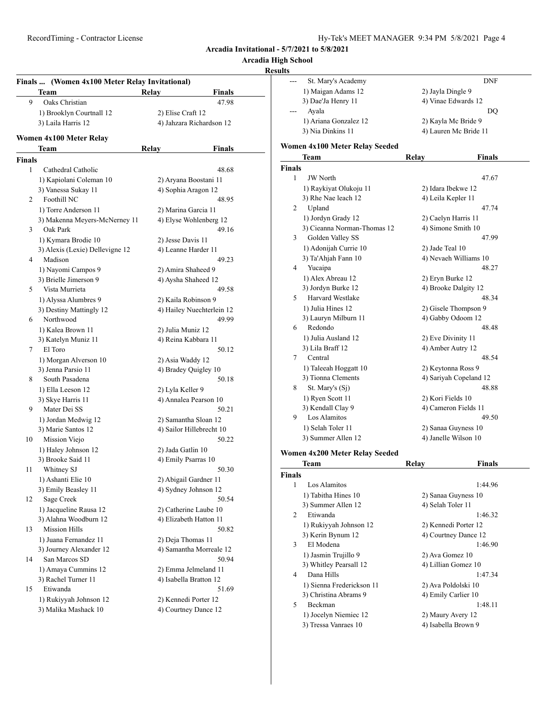# **Arcadia High School**

#### **Results**

|               | Team                            | Relay<br>Finals           |
|---------------|---------------------------------|---------------------------|
| 9             | Oaks Christian                  | 47.98                     |
|               | 1) Brooklyn Courtnall 12        | 2) Elise Craft 12         |
|               | 3) Laila Harris 12              | 4) Jahzara Richardson 12  |
|               | Women 4x100 Meter Relay         |                           |
|               | Team                            | Finals<br>Relay           |
| <b>Finals</b> |                                 |                           |
| 1             | Cathedral Catholic              | 48.68                     |
|               | 1) Kapiolani Coleman 10         | 2) Aryana Boostani 11     |
|               | 3) Vanessa Sukay 11             | 4) Sophia Aragon 12       |
| 2             | Foothill NC                     | 48.95                     |
|               | 1) Torre Anderson 11            | 2) Marina Garcia 11       |
|               | 3) Makenna Meyers-McNerney 11   | 4) Elyse Wohlenberg 12    |
| 3             | Oak Park                        | 49.16                     |
|               | 1) Kymara Brodie 10             | 2) Jesse Davis 11         |
|               | 3) Alexis (Lexie) Dellevigne 12 | 4) Leanne Harder 11       |
| 4             | Madison                         | 49.23                     |
|               | 1) Nayomi Campos 9              | 2) Amira Shaheed 9        |
|               | 3) Brielle Jimerson 9           | 4) Aysha Shaheed 12       |
| 5             | Vista Murrieta                  | 49.58                     |
|               | 1) Alyssa Alumbres 9            | 2) Kaila Robinson 9       |
|               | 3) Destiny Mattingly 12         | 4) Hailey Nuechterlein 12 |
| 6             | Northwood                       | 49.99                     |
|               | 1) Kalea Brown 11               | 2) Julia Muniz 12         |
|               | 3) Katelyn Muniz 11             | 4) Reina Kabbara 11       |
| 7             | El Toro                         | 50.12                     |
|               | 1) Morgan Alverson 10           | 2) Asia Waddy 12          |
|               | 3) Jenna Parsio 11              | 4) Bradey Quigley 10      |
| 8             | South Pasadena                  | 50.18                     |
|               | 1) Ella Leeson 12               | 2) Lyla Keller 9          |
|               | 3) Skye Harris 11               | 4) Annalea Pearson 10     |
| 9             | Mater Dei SS                    | 50.21                     |
|               |                                 |                           |
|               | 1) Jordan Medwig 12             | 2) Samantha Sloan 12      |
|               | 3) Marie Santos 12              | 4) Sailor Hillebrecht 10  |
| 10            | Mission Viejo                   | 50.22                     |
|               | 1) Haley Johnson 12             | 2) Jada Gatlin 10         |
|               | 3) Brooke Said 11               | 4) Emily Psarras 10       |
| 11            | Whitney SJ                      | 50.30                     |
|               | 1) Ashanti Elie 10              | 2) Abigail Gardner 11     |
|               | 3) Emily Beasley 11             | 4) Sydney Johnson 12      |
| 12            | Sage Creek                      | 50.54                     |
|               | 1) Jacqueline Rausa 12          | 2) Catherine Laube 10     |
|               | 3) Alahna Woodburn 12           | 4) Elizabeth Hatton 11    |
| 13            | <b>Mission Hills</b>            | 50.82                     |
|               | 1) Juana Fernandez 11           | 2) Deja Thomas 11         |
|               | 3) Journey Alexander 12         | 4) Samantha Morreale 12   |
| 14            | San Marcos SD                   | 50.94                     |
|               | 1) Amaya Cummins 12             | 2) Emma Jelmeland 11      |
|               | 3) Rachel Turner 11             | 4) Isabella Bratton 12    |
| 15            | Etiwanda                        | 51.69                     |
|               | 1) Rukiyyah Johnson 12          | 2) Kennedi Porter 12      |
|               | 3) Malika Mashack 10            | 4) Courtney Dance 12      |
|               |                                 |                           |

| St. Mary's Academy    | <b>DNF</b>            |
|-----------------------|-----------------------|
| 1) Maigan Adams 12    | 2) Jayla Dingle 9     |
| 3) Dae'Ja Henry 11    | 4) Vinae Edwards 12   |
| Ayala                 | D()                   |
| 1) Ariana Gonzalez 12 | 2) Kayla Mc Bride 9   |
| 3) Nia Dinkins 11     | 4) Lauren Mc Bride 11 |
|                       |                       |

#### **Women 4x100 Meter Relay Seeded**

|                | Team                                                                 | Relay              | <b>Finals</b>          |
|----------------|----------------------------------------------------------------------|--------------------|------------------------|
| <b>Finals</b>  |                                                                      |                    |                        |
| 1              | <b>JW</b> North                                                      |                    | 47.67                  |
|                | 1) Raykiyat Olukoju 11                                               | 2) Idara Ibekwe 12 |                        |
|                | 3) Rhe Nae leach 12                                                  | 4) Leila Kepler 11 |                        |
| $\overline{c}$ | Upland                                                               |                    | 47.74                  |
|                | 1) Jordyn Grady 12                                                   |                    | 2) Caelyn Harris 11    |
|                | 3) Cieanna Norman-Thomas 12                                          |                    | 4) Simone Smith 10     |
| 3              | Golden Valley SS                                                     |                    | 47.99                  |
|                | 1) Adonijah Currie 10                                                | 2) Jade Teal 10    |                        |
|                | 3) Ta'Ahjah Fann 10                                                  |                    | 4) Nevaeh Williams 10  |
| 4              | Yucaipa                                                              |                    | 48.27                  |
|                | 1) Alex Abreau 12                                                    | 2) Eryn Burke 12   |                        |
|                | 3) Jordyn Burke 12                                                   |                    | 4) Brooke Dalgity 12   |
| 5              | <b>Harvard Westlake</b>                                              |                    | 48.34                  |
|                | 1) Julia Hines 12                                                    |                    | 2) Gisele Thompson 9   |
|                | 3) Lauryn Milburn 11                                                 |                    | 4) Gabby Odoom 12      |
| 6              | Redondo                                                              |                    | 48.48                  |
|                | 1) Julia Ausland 12                                                  | 2) Eve Divinity 11 |                        |
|                | 3) Lila Braff 12                                                     | 4) Amber Autry 12  |                        |
| 7              | Central                                                              |                    | 48.54                  |
|                | 1) Taleeah Hoggatt 10                                                |                    | 2) Keytonna Ross 9     |
|                | 3) Tionna Clements                                                   |                    | 4) Sariyah Copeland 12 |
| 8              | St. Mary's (Sj)                                                      |                    | 48.88                  |
|                | 1) Ryen Scott 11                                                     | 2) Kori Fields 10  |                        |
|                | 3) Kendall Clay 9                                                    |                    | 4) Cameron Fields 11   |
| 9              | Los Alamitos                                                         |                    | 49.50                  |
|                | 1) Selah Toler 11                                                    |                    | 2) Sanaa Guyness 10    |
|                | 3) Summer Allen 12                                                   |                    | 4) Janelle Wilson 10   |
|                | $\mathbf{1}$ and $\mathbf{1}$ $\mathbf{1}$ $\mathbf{1}$ $\mathbf{1}$ |                    |                        |

#### **Women 4x200 Meter Relay Seeded**

| Team                      | Relay                | Finals               |
|---------------------------|----------------------|----------------------|
|                           |                      |                      |
| Los Alamitos              |                      | 1:44.96              |
| 1) Tabitha Hines 10       | 2) Sanaa Guyness 10  |                      |
| 3) Summer Allen 12        | 4) Selah Toler 11    |                      |
| Etiwanda                  |                      | 1:46.32              |
| 1) Rukiyyah Johnson 12    | 2) Kennedi Porter 12 |                      |
| 3) Kerin Bynum 12         |                      | 4) Courtney Dance 12 |
| El Modena                 |                      | 1:46.90              |
| 1) Jasmin Trujillo 9      | 2) Ava Gomez 10      |                      |
| 3) Whitley Pearsall 12    | 4) Lillian Gomez 10  |                      |
| Dana Hills                |                      | 1:47.34              |
| 1) Sienna Frederickson 11 | 2) Ava Poldolski 10  |                      |
| 3) Christina Abrams 9     | 4) Emily Carlier 10  |                      |
| <b>Beckman</b>            |                      | 1:48.11              |
| 1) Jocelyn Niemiec 12     | 2) Maury Avery 12    |                      |
| 3) Tressa Vanraes 10      | 4) Isabella Brown 9  |                      |
|                           | <b>Finals</b><br>2   |                      |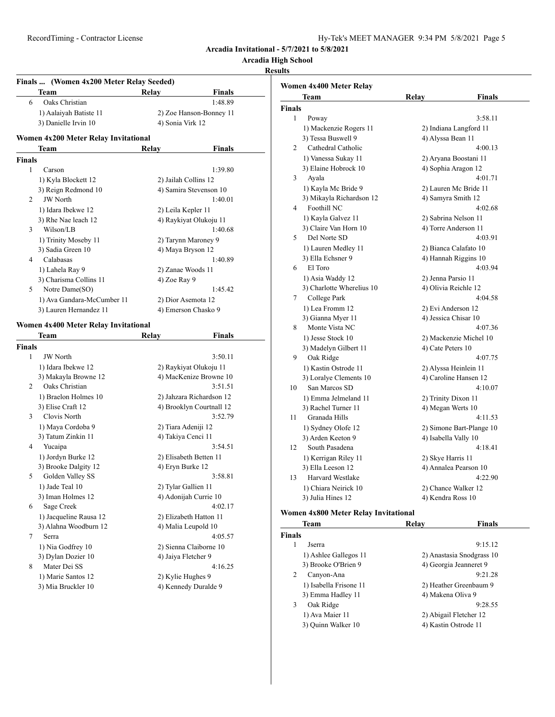**Arcadia High School**

## **Results**

| Finals  (Women 4x200 Meter Relay Seeded) |                                           |                    |                                                      |
|------------------------------------------|-------------------------------------------|--------------------|------------------------------------------------------|
|                                          | Team                                      | Relay              | Finals                                               |
| 6                                        | Oaks Christian                            |                    | 1:48.89                                              |
|                                          | 1) Aalaiyah Batiste 11                    |                    | 2) Zoe Hanson-Bonney 11                              |
|                                          | 3) Danielle Irvin 10                      | 4) Sonia Virk 12   |                                                      |
|                                          | Women 4x200 Meter Relay Invitational      |                    |                                                      |
|                                          | Team                                      | Relay              | Finals                                               |
| Finals                                   |                                           |                    |                                                      |
| 1                                        | Carson                                    |                    | 1:39.80                                              |
|                                          | 1) Kyla Blockett 12                       |                    | 2) Jailah Collins 12                                 |
|                                          | 3) Reign Redmond 10                       |                    | 4) Samira Stevenson 10                               |
| 2                                        | <b>JW</b> North                           |                    | 1:40.01                                              |
|                                          | 1) Idara Ibekwe 12                        | 2) Leila Kepler 11 |                                                      |
|                                          | 3) Rhe Nae leach 12                       |                    | 4) Raykiyat Olukoju 11                               |
| 3                                        | Wilson/LB                                 |                    | 1:40.68                                              |
|                                          | 1) Trinity Moseby 11                      |                    | 2) Tarynn Maroney 9                                  |
|                                          | 3) Sadia Green 10                         |                    | 4) Maya Bryson 12                                    |
| 4                                        | Calabasas                                 |                    | 1:40.89                                              |
|                                          | 1) Lahela Ray 9                           |                    | 2) Zanae Woods 11                                    |
|                                          | 3) Charisma Collins 11                    | 4) Zoe Ray 9       |                                                      |
| 5                                        | Notre Dame(SO)                            |                    | 1:45.42                                              |
|                                          | 1) Ava Gandara-McCumber 11                |                    | 2) Dior Asemota 12                                   |
|                                          | 3) Lauren Hernandez 11                    |                    | 4) Emerson Chasko 9                                  |
|                                          | Women 4x400 Meter Relay Invitational      |                    |                                                      |
|                                          | Team                                      | Relay              | Finals                                               |
| Finals<br>1                              |                                           |                    |                                                      |
|                                          | <b>JW</b> North                           |                    | 3:50.11                                              |
|                                          | 1) Idara Ibekwe 12                        |                    | 2) Raykiyat Olukoju 11<br>4) MacKenize Browne 10     |
| 2                                        | 3) Makayla Browne 12<br>Oaks Christian    |                    | 3:51.51                                              |
|                                          |                                           |                    |                                                      |
|                                          | 1) Braelon Holmes 10<br>3) Elise Craft 12 |                    | 2) Jahzara Richardson 12<br>4) Brooklyn Courtnall 12 |
| 3                                        | Clovis North                              |                    | 3:52.79                                              |
|                                          |                                           |                    |                                                      |
|                                          | 1) Maya Cordoba 9<br>3) Tatum Zinkin 11   |                    | 2) Tiara Adeniji 12<br>4) Takiya Cenci 11            |
| 4                                        | Yucaipa                                   |                    | 3:54.51                                              |
|                                          |                                           |                    |                                                      |
|                                          | 1) Jordyn Burke 12                        |                    | 2) Elisabeth Betten 11                               |
| 5                                        | 3) Brooke Dalgity 12<br>Golden Valley SS  | 4) Eryn Burke 12   | 3:58.81                                              |
|                                          |                                           |                    | 2) Tylar Gallien 11                                  |
|                                          | 1) Jade Teal 10<br>3) Iman Holmes 12      |                    | 4) Adonijah Currie 10                                |
|                                          |                                           |                    |                                                      |
| 6                                        | Sage Creek                                |                    | 4:02.17                                              |
|                                          | 1) Jacqueline Rausa 12                    |                    | 2) Elizabeth Hatton 11                               |
|                                          | 3) Alahna Woodburn 12                     |                    | 4) Malia Leupold 10                                  |
| 7                                        | Serra                                     |                    | 4:05.57                                              |
|                                          | 1) Nia Godfrey 10                         |                    | 2) Sienna Claiborne 10                               |
|                                          | 3) Dylan Dozier 10                        |                    | 4) Jaiya Fletcher 9                                  |
| 8                                        | Mater Dei SS                              |                    | 4:16.25                                              |
|                                          | 1) Marie Santos 12                        | 2) Kylie Hughes 9  |                                                      |
|                                          | 3) Mia Bruckler 10                        |                    | 4) Kennedy Duralde 9                                 |

|               | Team                      | Relay                    | Finals  |
|---------------|---------------------------|--------------------------|---------|
| <b>Finals</b> |                           |                          |         |
| 1             | Poway                     |                          | 3:58.11 |
|               | 1) Mackenzie Rogers 11    | 2) Indiana Langford 11   |         |
|               | 3) Tessa Buswell 9        | 4) Alyssa Bean 11        |         |
| 2             | Cathedral Catholic        |                          | 4:00.13 |
|               | 1) Vanessa Sukay 11       | 2) Aryana Boostani 11    |         |
|               | 3) Elaine Hobrock 10      | 4) Sophia Aragon 12      |         |
| 3             | Ayala                     |                          | 4:01.71 |
|               | 1) Kayla Mc Bride 9       | 2) Lauren Mc Bride 11    |         |
|               | 3) Mikayla Richardson 12  | 4) Samyra Smith 12       |         |
| 4             | Foothill NC               |                          | 4:02.68 |
|               | 1) Kayla Galvez 11        | 2) Sabrina Nelson 11     |         |
|               | 3) Claire Van Horn 10     | 4) Torre Anderson 11     |         |
| 5             | Del Norte SD              |                          | 4:03.91 |
|               | 1) Lauren Medley 11       | 2) Bianca Calafato 10    |         |
|               | 3) Ella Echsner 9         | 4) Hannah Riggins 10     |         |
| 6             | El Toro                   |                          | 4:03.94 |
|               | 1) Asia Waddy 12          | 2) Jenna Parsio 11       |         |
|               | 3) Charlotte Wherelius 10 | 4) Olivia Reichle 12     |         |
| 7             | College Park              |                          | 4:04.58 |
|               | 1) Lea Fromm 12           | 2) Evi Anderson 12       |         |
|               | 3) Gianna Myer 11         | 4) Jessica Chisar 10     |         |
| 8             | Monte Vista NC            |                          | 4:07.36 |
|               | 1) Jesse Stock 10         | 2) Mackenzie Michel 10   |         |
|               | 3) Madelyn Gilbert 11     | 4) Cate Peters 10        |         |
| 9             | Oak Ridge                 |                          | 4:07.75 |
|               | 1) Kastin Ostrode 11      | 2) Alyssa Heinlein 11    |         |
|               | 3) Loralye Clements 10    | 4) Caroline Hansen 12    |         |
| 10            | San Marcos SD             |                          | 4:10.07 |
|               | 1) Emma Jelmeland 11      | 2) Trinity Dixon 11      |         |
|               | 3) Rachel Turner 11       | 4) Megan Werts 10        |         |
| 11            | Granada Hills             |                          | 4:11.53 |
|               | 1) Sydney Olofe 12        | 2) Simone Bart-Plange 10 |         |
|               | 3) Arden Keeton 9         | 4) Isabella Vally 10     |         |
| 12            | South Pasadena            |                          | 4:18.41 |
|               | 1) Kerrigan Riley 11      | 2) Skye Harris 11        |         |
|               | 3) Ella Leeson 12         | 4) Annalea Pearson 10    |         |
| 13            | Harvard Westlake          |                          | 4:22.90 |
|               |                           |                          |         |
|               | 1) Chiara Neirick 10      | 2) Chance Walker 12      |         |

# **Women 4x800 Meter Relay Invitational**

| Team                   | Relav                  | Finals                    |
|------------------------|------------------------|---------------------------|
| <b>Finals</b>          |                        |                           |
| Jserra                 |                        | 9:15.12                   |
| 1) Ashlee Gallegos 11  |                        | 2) Anastasia Snodgrass 10 |
| 3) Brooke O'Brien 9    |                        | 4) Georgia Jeanneret 9    |
| Canyon-Ana             |                        | 9:21.28                   |
| 1) Isabella Frisone 11 |                        | 2) Heather Greenbaum 9    |
| 3) Emma Hadley 11      | 4) Makena Oliva 9      |                           |
| Oak Ridge              |                        | 9:28.55                   |
| 1) Ava Maier 11        | 2) Abigail Fletcher 12 |                           |
| 3) Ouinn Walker 10     | 4) Kastin Ostrode 11   |                           |
|                        |                        |                           |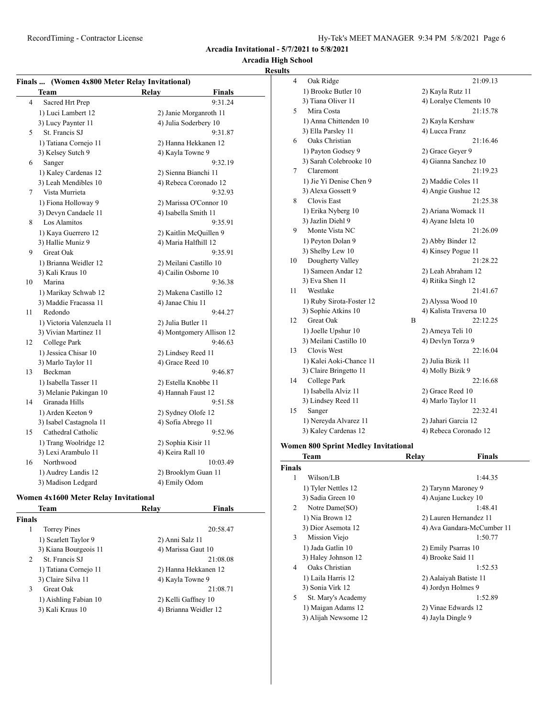#### **Arcadia High School Results**

# **Finals ... (Women 4x800 Meter Relay Invitational)**

|    | <b>Team</b>               | Relay              | <b>Finals</b>            |
|----|---------------------------|--------------------|--------------------------|
| 4  | Sacred Hrt Prep           |                    | 9:31.24                  |
|    | 1) Luci Lambert 12        |                    | 2) Janie Morganroth 11   |
|    | 3) Lucy Paynter 11        |                    | 4) Julia Soderbery 10    |
| 5  | St. Francis SJ            |                    | 9:31.87                  |
|    | 1) Tatiana Cornejo 11     |                    | 2) Hanna Hekkanen 12     |
|    | 3) Kelsey Sutch 9         | 4) Kayla Towne 9   |                          |
| 6  | Sanger                    |                    | 9:32.19                  |
|    | 1) Kaley Cardenas 12      |                    | 2) Sienna Bianchi 11     |
|    | 3) Leah Mendibles 10      |                    | 4) Rebeca Coronado 12    |
| 7  | Vista Murrieta            |                    | 9:32.93                  |
|    | 1) Fiona Holloway 9       |                    | 2) Marissa O'Connor 10   |
|    | 3) Devyn Candaele 11      |                    | 4) Isabella Smith 11     |
| 8  | Los Alamitos              |                    | 9:35.91                  |
|    | 1) Kaya Guerrero 12       |                    | 2) Kaitlin McQuillen 9   |
|    | 3) Hallie Muniz 9         |                    | 4) Maria Halfhill 12     |
| 9  | Great Oak                 |                    | 9:35.91                  |
|    | 1) Brianna Weidler 12     |                    | 2) Meilani Castillo 10   |
|    | 3) Kali Kraus 10          |                    | 4) Cailin Osborne 10     |
| 10 | Marina                    |                    | 9:36.38                  |
|    | 1) Marikay Schwab 12      |                    | 2) Makena Castillo 12    |
|    | 3) Maddie Fracassa 11     | 4) Janae Chiu 11   |                          |
| 11 | Redondo                   |                    | 9:44.27                  |
|    | 1) Victoria Valenzuela 11 | 2) Julia Butler 11 |                          |
|    | 3) Vivian Martinez 11     |                    | 4) Montgomery Allison 12 |
| 12 | College Park              |                    | 9:46.63                  |
|    | 1) Jessica Chisar 10      |                    | 2) Lindsey Reed 11       |
|    | 3) Marlo Taylor 11        | 4) Grace Reed 10   |                          |
| 13 | Beckman                   |                    | 9:46.87                  |
|    | 1) Isabella Tasser 11     |                    | 2) Estella Knobbe 11     |
|    | 3) Melanie Pakingan 10    |                    | 4) Hannah Faust 12       |
| 14 | Granada Hills             |                    | 9:51.58                  |
|    | 1) Arden Keeton 9         |                    | 2) Sydney Olofe 12       |
|    | 3) Isabel Castagnola 11   | 4) Sofia Abrego 11 |                          |
| 15 | Cathedral Catholic        |                    | 9:52.96                  |
|    | 1) Trang Woolridge 12     | 2) Sophia Kisir 11 |                          |
|    | 3) Lexi Arambulo 11       | 4) Keira Rall 10   |                          |
| 16 | Northwood                 |                    | 10:03.49                 |
|    | 1) Audrey Landis 12       |                    | 2) Brooklym Guan 11      |
|    | 3) Madison Ledgard        | 4) Emily Odom      |                          |

#### **Women 4x1600 Meter Relay Invitational**

| Team                          | Relay                 | <b>Finals</b> |
|-------------------------------|-----------------------|---------------|
| <b>Finals</b>                 |                       |               |
| <b>Torrey Pines</b><br>1      |                       | 20:58.47      |
| 1) Scarlett Taylor 9          | 2) Anni Salz 11       |               |
| 3) Kiana Bourgeois 11         | 4) Marissa Gaut 10    |               |
| St. Francis SJ<br>$2^{\circ}$ |                       | 21:08.08      |
| 1) Tatiana Cornejo 11         | 2) Hanna Hekkanen 12  |               |
| 3) Claire Silva 11            | 4) Kayla Towne 9      |               |
| 3<br>Great Oak                |                       | 21:08.71      |
| 1) Aishling Fabian 10         | 2) Kelli Gaffney 10   |               |
| 3) Kali Kraus 10              | 4) Brianna Weidler 12 |               |
|                               |                       |               |

| 4  | Oak Ridge                |   | 21:09.13               |
|----|--------------------------|---|------------------------|
|    | 1) Brooke Butler 10      |   | 2) Kayla Rutz 11       |
|    | 3) Tiana Oliver 11       |   | 4) Loralye Clements 10 |
| 5  | Mira Costa               |   | 21:15.78               |
|    | 1) Anna Chittenden 10    |   | 2) Kayla Kershaw       |
|    | 3) Ella Parsley 11       |   | 4) Lucca Franz         |
| 6  | Oaks Christian           |   | 21:16.46               |
|    | 1) Payton Godsey 9       |   | 2) Grace Gever 9       |
|    | 3) Sarah Colebrooke 10   |   | 4) Gianna Sanchez 10   |
| 7  | Claremont                |   | 21:19.23               |
|    | 1) Jie Yi Denise Chen 9  |   | 2) Maddie Coles 11     |
|    | 3) Alexa Gossett 9       |   | 4) Angie Gushue 12     |
| 8  | <b>Clovis East</b>       |   | 21:25.38               |
|    | 1) Erika Nyberg 10       |   | 2) Ariana Womack 11    |
|    | 3) Jazlin Diehl 9        |   | 4) Ayane Isleta 10     |
| 9  | Monte Vista NC           |   | 21:26.09               |
|    | 1) Peyton Dolan 9        |   | 2) Abby Binder 12      |
|    | 3) Shelby Lew 10         |   | 4) Kinsey Pogue 11     |
| 10 | Dougherty Valley         |   | 21:28.22               |
|    | 1) Sameen Andar 12       |   | 2) Leah Abraham 12     |
|    | 3) Eva Shen 11           |   | 4) Ritika Singh 12     |
| 11 | Westlake                 |   | 21:41.67               |
|    | 1) Ruby Sirota-Foster 12 |   | 2) Alyssa Wood 10      |
|    | 3) Sophie Atkins 10      |   | 4) Kalista Traversa 10 |
| 12 | Great Oak                | B | 22:12.25               |
|    | 1) Joelle Upshur 10      |   | 2) Ameya Teli 10       |
|    | 3) Meilani Castillo 10   |   | 4) Devlyn Torza 9      |
| 13 | Clovis West              |   | 22:16.04               |
|    | 1) Kalei Aoki-Chance 11  |   | 2) Julia Bizik 11      |
|    | 3) Claire Bringetto 11   |   | 4) Molly Bizik 9       |
| 14 | College Park             |   | 22:16.68               |
|    | 1) Isabella Alviz 11     |   | 2) Grace Reed 10       |
|    | 3) Lindsey Reed 11       |   | 4) Marlo Taylor 11     |
| 15 | Sanger                   |   | 22:32.41               |
|    | 1) Nereyda Alvarez 11    |   | 2) Jahari Garcia 12    |
|    | 3) Kaley Cardenas 12     |   | 4) Rebeca Coronado 12  |
|    |                          |   |                        |

## **Women 800 Sprint Medley Invitational**

| Team                 | Relay | Finals                                                                                                                                                   |
|----------------------|-------|----------------------------------------------------------------------------------------------------------------------------------------------------------|
| <b>Finals</b>        |       |                                                                                                                                                          |
| Wilson/LB            |       | 1:44.35                                                                                                                                                  |
| 1) Tyler Nettles 12  |       |                                                                                                                                                          |
| 3) Sadia Green 10    |       |                                                                                                                                                          |
| 2<br>Notre Dame(SO)  |       | 1:48.41                                                                                                                                                  |
| 1) Nia Brown 12      |       | 2) Lauren Hernandez 11                                                                                                                                   |
| 3) Dior Asemota 12   |       | 4) Ava Gandara-McCumber 11                                                                                                                               |
| Mission Viejo        |       | 1:50.77                                                                                                                                                  |
| 1) Jada Gatlin 10    |       |                                                                                                                                                          |
| 3) Haley Johnson 12  |       |                                                                                                                                                          |
| Oaks Christian       |       | 1:52.53                                                                                                                                                  |
| 1) Laila Harris 12   |       | 2) Aalaiyah Batiste 11                                                                                                                                   |
| 3) Sonia Virk 12     |       |                                                                                                                                                          |
| St. Mary's Academy   |       | 1:52.89                                                                                                                                                  |
| 1) Maigan Adams 12   |       |                                                                                                                                                          |
| 3) Alijah Newsome 12 |       |                                                                                                                                                          |
|                      |       | 2) Tarynn Maroney 9<br>4) Aujane Luckey 10<br>2) Emily Psarras 10<br>4) Brooke Said 11<br>4) Jordyn Holmes 9<br>2) Vinae Edwards 12<br>4) Jayla Dingle 9 |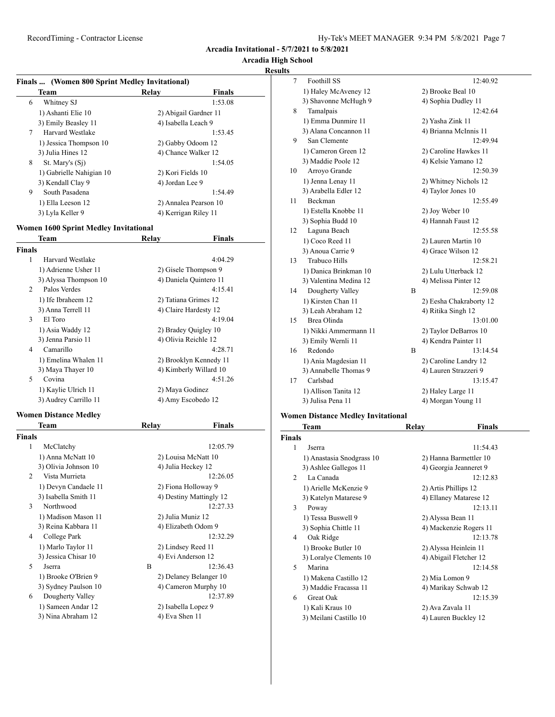**Arcadia High School**

#### **Results**

| Finals  (Women 800 Sprint Medley Invitational) |                       |         |  |
|------------------------------------------------|-----------------------|---------|--|
| <b>Finals</b><br>Relay<br>Team                 |                       |         |  |
| Whitney SJ<br>6                                |                       | 1:53.08 |  |
| 1) Ashanti Elie 10                             | 2) Abigail Gardner 11 |         |  |
| 3) Emily Beasley 11                            | 4) Isabella Leach 9   |         |  |
| 7<br>Harvard Westlake                          |                       | 1:53.45 |  |
| 1) Jessica Thompson 10                         | 2) Gabby Odoom 12     |         |  |
| 3) Julia Hines 12                              | 4) Chance Walker 12   |         |  |
| 8<br>St. Mary's (S <sub>1</sub> )              |                       | 1:54.05 |  |
| 1) Gabrielle Nahigian 10                       | 2) Kori Fields 10     |         |  |
| 3) Kendall Clay 9                              | 4) Jordan Lee 9       |         |  |
| 9<br>South Pasadena                            |                       | 1:54.49 |  |
| 1) Ella Leeson 12                              | 2) Annalea Pearson 10 |         |  |
| 3) Lyla Keller 9                               | 4) Kerrigan Riley 11  |         |  |

# **Women 1600 Sprint Medley Invitational**

| Team          |                       | Relav                | Finals                 |
|---------------|-----------------------|----------------------|------------------------|
| <b>Finals</b> |                       |                      |                        |
| 1             | Harvard Westlake      |                      | 4:04.29                |
|               | 1) Adrienne Usher 11  |                      | 2) Gisele Thompson 9   |
|               | 3) Alyssa Thompson 10 |                      | 4) Daniela Quintero 11 |
| 2             | Palos Verdes          |                      | 4:15.41                |
|               | 1) Ife Ibraheem 12    |                      | 2) Tatiana Grimes 12   |
|               | 3) Anna Terrell 11    |                      | 4) Claire Hardesty 12  |
| 3             | El Toro               |                      | 4:19.04                |
|               | 1) Asia Waddy 12      |                      | 2) Bradey Quigley 10   |
|               | 3) Jenna Parsio 11    | 4) Olivia Reichle 12 |                        |
| 4             | Camarillo             |                      | 4:28.71                |
|               | 1) Emelina Whalen 11  |                      | 2) Brooklyn Kennedy 11 |
|               | 3) Maya Thayer 10     |                      | 4) Kimberly Willard 10 |
| 5             | Covina                |                      | 4:51.26                |
|               | 1) Kaylie Ulrich 11   | 2) Maya Godinez      |                        |
|               | 3) Audrey Carrillo 11 |                      | 4) Amy Escobedo 12     |
|               |                       |                      |                        |

#### **Women Distance Medley**

|                | Team                 | Relay |                         | <b>Finals</b> |
|----------------|----------------------|-------|-------------------------|---------------|
| <b>Finals</b>  |                      |       |                         |               |
| 1              | McClatchy            |       |                         | 12:05.79      |
|                | 1) Anna McNatt 10    |       | 2) Louisa McNatt 10     |               |
|                | 3) Olivia Johnson 10 |       | 4) Julia Heckey 12      |               |
| $\mathfrak{D}$ | Vista Murrieta       |       |                         | 12:26.05      |
|                | 1) Devyn Candaele 11 |       | 2) Fiona Holloway 9     |               |
|                | 3) Isabella Smith 11 |       | 4) Destiny Mattingly 12 |               |
| 3              | Northwood            |       |                         | 12:27.33      |
|                | 1) Madison Mason 11  |       | 2) Julia Muniz 12       |               |
|                | 3) Reina Kabbara 11  |       | 4) Elizabeth Odom 9     |               |
| 4              | College Park         |       |                         | 12:32.29      |
|                | 1) Marlo Taylor 11   |       | 2) Lindsey Reed 11      |               |
|                | 3) Jessica Chisar 10 |       | 4) Evi Anderson 12      |               |
| $\overline{5}$ | <b>Jserra</b>        | B     |                         | 12:36.43      |
|                | 1) Brooke O'Brien 9  |       | 2) Delaney Belanger 10  |               |
|                | 3) Sydney Paulson 10 |       | 4) Cameron Murphy 10    |               |
| 6              | Dougherty Valley     |       |                         | 12:37.89      |
|                | 1) Sameen Andar 12   |       | 2) Isabella Lopez 9     |               |
|                | 3) Nina Abraham 12   |       | 4) Eva Shen 11          |               |
|                |                      |       |                         |               |

| 7  | Foothill SS            |   | 12:40.92                |
|----|------------------------|---|-------------------------|
|    | 1) Haley McAveney 12   |   | 2) Brooke Beal 10       |
|    | 3) Shavonne McHugh 9   |   | 4) Sophia Dudley 11     |
| 8  | Tamalpais              |   | 12:42.64                |
|    | 1) Emma Dunmire 11     |   | 2) Yasha Zink 11        |
|    | 3) Alana Concannon 11  |   | 4) Brianna McInnis 11   |
| 9  | San Clemente           |   | 12:49.94                |
|    | 1) Cameron Green 12    |   | 2) Caroline Hawkes 11   |
|    | 3) Maddie Poole 12     |   | 4) Kelsie Yamano 12     |
| 10 | Arroyo Grande          |   | 12:50.39                |
|    | 1) Jenna Lenay 11      |   | 2) Whitney Nichols 12   |
|    | 3) Arabella Edler 12   |   | 4) Taylor Jones 10      |
| 11 | <b>Beckman</b>         |   | 12:55.49                |
|    | 1) Estella Knobbe 11   |   | 2) Joy Weber 10         |
|    | 3) Sophia Budd 10      |   | 4) Hannah Faust 12      |
| 12 | Laguna Beach           |   | 12:55.58                |
|    | 1) Coco Reed 11        |   | 2) Lauren Martin 10     |
|    | 3) Anoua Carrie 9      |   | 4) Grace Wilson 12      |
| 13 | <b>Trabuco Hills</b>   |   | 12:58.21                |
|    | 1) Danica Brinkman 10  |   | 2) Lulu Utterback 12    |
|    | 3) Valentina Medina 12 |   | 4) Melissa Pinter 12    |
| 14 | Dougherty Valley       | B | 12:59.08                |
|    | 1) Kirsten Chan 11     |   | 2) Eesha Chakraborty 12 |
|    | 3) Leah Abraham 12     |   | 4) Ritika Singh 12      |
| 15 | Brea Olinda            |   | 13:01.00                |
|    | 1) Nikki Ammermann 11  |   | 2) Taylor DeBarros 10   |
|    | 3) Emily Wernli 11     |   | 4) Kendra Painter 11    |
| 16 | Redondo                | B | 13:14.54                |
|    | 1) Ania Magdesian 11   |   | 2) Caroline Landry 12   |
|    | 3) Annabelle Thomas 9  |   | 4) Lauren Strazzeri 9   |
| 17 | Carlsbad               |   | 13:15.47                |
|    | 1) Allison Tanita 12   |   | 2) Haley Large 11       |
|    | 3) Julisa Pena 11      |   | 4) Morgan Young 11      |

# **Women Distance Medley Invitational**

|                          | Team                      | Relay             | Finals                 |
|--------------------------|---------------------------|-------------------|------------------------|
| <b>Finals</b>            |                           |                   |                        |
| 1                        | Jserra                    |                   | 11:54.43               |
|                          | 1) Anastasia Snodgrass 10 |                   | 2) Hanna Barmettler 10 |
|                          | 3) Ashlee Gallegos 11     |                   | 4) Georgia Jeanneret 9 |
| $\mathfrak{D}$           | La Canada                 |                   | 12:12.83               |
|                          | 1) Arielle McKenzie 9     |                   | 2) Artis Phillips 12   |
|                          | 3) Katelyn Matarese 9     |                   | 4) Ellaney Matarese 12 |
| 3                        | Poway                     |                   | 12:13.11               |
|                          | 1) Tessa Buswell 9        | 2) Alyssa Bean 11 |                        |
|                          | 3) Sophia Chittle 11      |                   | 4) Mackenzie Rogers 11 |
| 4                        | Oak Ridge                 |                   | 12:13.78               |
|                          | 1) Brooke Butler 10       |                   | 2) Alyssa Heinlein 11  |
|                          | 3) Loralye Clements 10    |                   | 4) Abigail Fletcher 12 |
| $\overline{\phantom{0}}$ | Marina                    |                   | 12:14.58               |
|                          | 1) Makena Castillo 12     | 2) Mia Lomon 9    |                        |
|                          | 3) Maddie Fracassa 11     |                   | 4) Marikay Schwab 12   |
| 6                        | Great Oak                 |                   | 12:15.39               |
|                          | 1) Kali Kraus 10          | 2) Ava Zavala 11  |                        |
|                          | 3) Meilani Castillo 10    |                   | 4) Lauren Buckley 12   |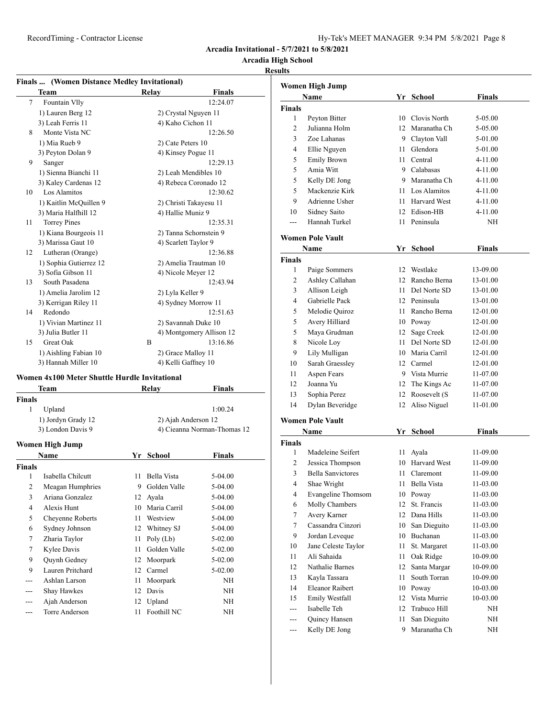# **Arcadia High School**

# **Results**

|        | <b>Finals </b> (Women Distance Medley Invitational) |       |                          |  |  |  |
|--------|-----------------------------------------------------|-------|--------------------------|--|--|--|
|        | <b>Team</b>                                         | Relay | <b>Finals</b>            |  |  |  |
| $\tau$ | Fountain Vlly                                       |       | 12:24.07                 |  |  |  |
|        | 1) Lauren Berg 12                                   |       | 2) Crystal Nguyen 11     |  |  |  |
|        | 3) Leah Ferris 11                                   |       | 4) Kaho Cichon 11        |  |  |  |
| 8      | Monte Vista NC                                      |       | 12:26.50                 |  |  |  |
|        | 1) Mia Rueb 9                                       |       | 2) Cate Peters 10        |  |  |  |
|        | 3) Peyton Dolan 9                                   |       | 4) Kinsey Pogue 11       |  |  |  |
| 9      | Sanger                                              |       | 12:29.13                 |  |  |  |
|        | 1) Sienna Bianchi 11                                |       | 2) Leah Mendibles 10     |  |  |  |
|        | 3) Kaley Cardenas 12                                |       | 4) Rebeca Coronado 12    |  |  |  |
| 10     | Los Alamitos                                        |       | 12:30.62                 |  |  |  |
|        | 1) Kaitlin McQuillen 9                              |       | 2) Christi Takayesu 11   |  |  |  |
|        | 3) Maria Halfhill 12                                |       | 4) Hallie Muniz 9        |  |  |  |
| 11     | <b>Torrey Pines</b>                                 |       | 12:35.31                 |  |  |  |
|        | 1) Kiana Bourgeois 11                               |       | 2) Tanna Schornstein 9   |  |  |  |
|        | 3) Marissa Gaut 10                                  |       | 4) Scarlett Taylor 9     |  |  |  |
| 12     | Lutheran (Orange)                                   |       | 12:36.88                 |  |  |  |
|        | 1) Sophia Gutierrez 12                              |       | 2) Amelia Trautman 10    |  |  |  |
|        | 3) Sofia Gibson 11                                  |       | 4) Nicole Meyer 12       |  |  |  |
| 13     | South Pasadena                                      |       | 12:43.94                 |  |  |  |
|        | 1) Amelia Jarolim 12                                |       | 2) Lyla Keller 9         |  |  |  |
|        | 3) Kerrigan Riley 11                                |       | 4) Sydney Morrow 11      |  |  |  |
| 14     | Redondo                                             |       | 12:51.63                 |  |  |  |
|        | 1) Vivian Martinez 11                               |       | 2) Savannah Duke 10      |  |  |  |
|        | 3) Julia Butler 11                                  |       | 4) Montgomery Allison 12 |  |  |  |
| 15     | Great Oak                                           | B     | 13:16.86                 |  |  |  |
|        | 1) Aishling Fabian 10                               |       | 2) Grace Malloy 11       |  |  |  |
|        | 3) Hannah Miller 10                                 |       | 4) Kelli Gaffney 10      |  |  |  |

#### **Women 4x100 Meter Shuttle Hurdle Invitational**

| Team               | Relav | <b>Finals</b>               |
|--------------------|-------|-----------------------------|
| <b>Finals</b>      |       |                             |
| Upland             |       | 1:00.24                     |
| 1) Jordyn Grady 12 |       | 2) Ajah Anderson 12         |
| 3) London Davis 9  |       | 4) Cieanna Norman-Thomas 12 |
|                    |       |                             |

#### **Women High Jump**

|                | Name              | Yr | School       | <b>Finals</b> |
|----------------|-------------------|----|--------------|---------------|
| <b>Finals</b>  |                   |    |              |               |
| 1              | Isabella Chilcutt | 11 | Bella Vista  | 5-04.00       |
| 2              | Meagan Humphries  | 9  | Golden Valle | 5-04.00       |
| 3              | Ariana Gonzalez   | 12 | Ayala        | 5-04.00       |
| $\overline{4}$ | Alexis Hunt       | 10 | Maria Carril | 5-04.00       |
| 5              | Cheyenne Roberts  | 11 | Westview     | 5-04.00       |
| 6              | Sydney Johnson    | 12 | Whitney SJ   | 5-04.00       |
| 7              | Zharia Taylor     | 11 | Poly $(Lb)$  | $5-02.00$     |
| 7              | Kylee Davis       | 11 | Golden Valle | $5-02.00$     |
| 9              | Quynh Gedney      | 12 | Moorpark     | $5-02.00$     |
| 9              | Lauren Pritchard  | 12 | Carmel       | $5-02.00$     |
|                | Ashlan Larson     | 11 | Moorpark     | NH            |
| ---            | Shay Hawkes       | 12 | Davis        | NH            |
| ---            | Ajah Anderson     |    | 12 Upland    | NH            |
|                | Torre Anderson    | 11 | Foothill NC  | NΗ            |

|                | Women High Jump         |    |                 |               |  |
|----------------|-------------------------|----|-----------------|---------------|--|
|                | Name                    | Yr | <b>School</b>   | <b>Finals</b> |  |
| <b>Finals</b>  |                         |    |                 |               |  |
| 1              | Peyton Bitter           | 10 | Clovis North    | 5-05.00       |  |
| $\overline{2}$ | Julianna Holm           |    | 12 Maranatha Ch | 5-05.00       |  |
| 3              | Zoe Lahanas             |    | 9 Clayton Vall  | 5-01.00       |  |
| 4              | Ellie Nguyen            | 11 | Glendora        | 5-01.00       |  |
| 5              | <b>Emily Brown</b>      | 11 | Central         | $4 - 11.00$   |  |
| 5              | Amia Witt               |    | 9 Calabasas     | $4 - 11.00$   |  |
| 5              | Kelly DE Jong           | 9  | Maranatha Ch    | 4-11.00       |  |
| 5              | Mackenzie Kirk          |    | 11 Los Alamitos | $4 - 11.00$   |  |
| 9              | Adrienne Usher          |    | 11 Harvard West | $4 - 11.00$   |  |
| 10             | Sidney Saito            | 12 | Edison-HB       | 4-11.00       |  |
| ---            | Hannah Turkel           | 11 | Peninsula       | <b>NH</b>     |  |
|                | <b>Women Pole Vault</b> |    |                 |               |  |
|                | Name                    | Yr | <b>School</b>   | <b>Finals</b> |  |
| <b>Finals</b>  |                         |    |                 |               |  |
| 1              | Paige Sommers           | 12 | Westlake        | 13-09.00      |  |
| $\overline{c}$ | Ashley Callahan         | 12 | Rancho Berna    | 13-01.00      |  |
| 3              | Allison Leigh           |    | 11 Del Norte SD | 13-01.00      |  |
| $\overline{4}$ | Gabrielle Pack          |    | 12 Peninsula    | 13-01.00      |  |
| 5              | Melodie Quiroz          | 11 | Rancho Berna    | 12-01.00      |  |
| 5              | Avery Hilliard          |    | 10 Poway        | 12-01.00      |  |
| 5              | Maya Grudman            | 12 | Sage Creek      | 12-01.00      |  |
| 8              | Nicole Loy              | 11 | Del Norte SD    | 12-01.00      |  |
| 9              | Lily Mulligan           |    | 10 Maria Carril | 12-01.00      |  |
| 10             | Sarah Graessley         |    | 12 Carmel       | 12-01.00      |  |
| 11             | Aspen Fears             |    | 9 Vista Murrie  | 11-07.00      |  |
| 12             | Joanna Yu               |    | 12 The Kings Ac | 11-07.00      |  |
| 13             | Sophia Perez            | 12 | Roosevelt (S    | 11-07.00      |  |
| 14             | Dylan Beveridge         | 12 | Aliso Niguel    | 11-01.00      |  |
|                |                         |    |                 |               |  |

#### **Women Pole Vault**

|        | Name                     | Yr | School              | Finals   |  |
|--------|--------------------------|----|---------------------|----------|--|
| Finals |                          |    |                     |          |  |
| 1      | Madeleine Seifert        | 11 | Ayala               | 11-09.00 |  |
| 2      | Jessica Thompson         | 10 | <b>Harvard West</b> | 11-09.00 |  |
| 3      | <b>Bella Sanvictores</b> | 11 | Claremont           | 11-09.00 |  |
| 4      | Shae Wright              | 11 | Bella Vista         | 11-03.00 |  |
| 4      | Evangeline Thomsom       | 10 | Poway               | 11-03.00 |  |
| 6      | Molly Chambers           | 12 | St. Francis         | 11-03.00 |  |
| 7      | Avery Karner             | 12 | Dana Hills          | 11-03.00 |  |
| 7      | Cassandra Cinzori        | 10 | San Dieguito        | 11-03.00 |  |
| 9      | Jordan Leveque           | 10 | <b>Buchanan</b>     | 11-03.00 |  |
| 10     | Jane Celeste Taylor      | 11 | St. Margaret        | 11-03.00 |  |
| 11     | Ali Sahaida              | 11 | Oak Ridge           | 10-09.00 |  |
| 12     | Nathalie Barnes          | 12 | Santa Margar        | 10-09.00 |  |
| 13     | Kayla Tassara            | 11 | South Torran        | 10-09.00 |  |
| 14     | <b>Eleanor Raibert</b>   | 10 | Poway               | 10-03.00 |  |
| 15     | Emily Westfall           | 12 | Vista Murrie        | 10-03.00 |  |
| ---    | Isabelle Teh             | 12 | Trabuco Hill        | NH       |  |
| ---    | Quincy Hansen            | 11 | San Dieguito        | NH       |  |
| ---    | Kelly DE Jong            | 9  | Maranatha Ch        | ΝH       |  |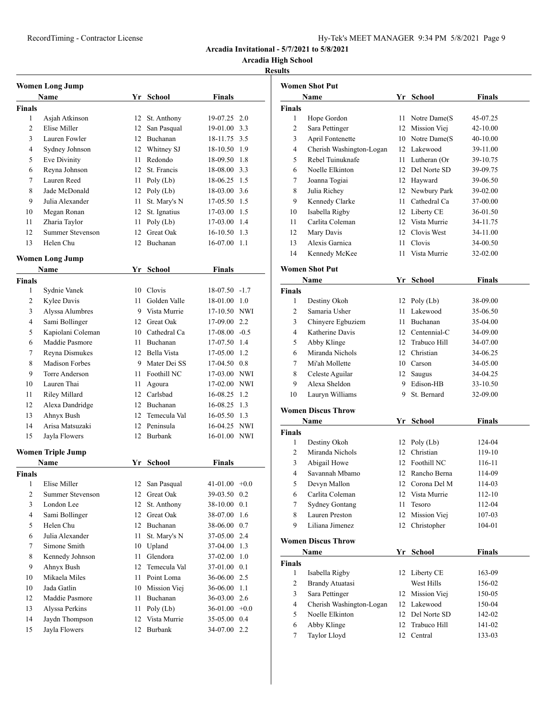# **Arcadia High School**

|                | <b>Women Long Jump</b>   |    |                 |                 |         |
|----------------|--------------------------|----|-----------------|-----------------|---------|
|                | Name                     |    | Yr School       | <b>Finals</b>   |         |
| <b>Finals</b>  |                          |    |                 |                 |         |
| 1              | Asjah Atkinson           | 12 | St. Anthony     | 19-07.25 2.0    |         |
| 2              | Elise Miller             | 12 | San Pasqual     | 19-01.00 3.3    |         |
| 3              | Lauren Fowler            |    | 12 Buchanan     | 18-11.75 3.5    |         |
| 4              | Sydney Johnson           |    | 12 Whitney SJ   | 18-10.50 1.9    |         |
| 5              | Eve Divinity             | 11 | Redondo         | 18-09.50 1.8    |         |
| 6              | Reyna Johnson            |    | 12 St. Francis  | 18-08.00 3.3    |         |
| 7              | Lauren Reed              |    | 11 Poly $(Lb)$  | 18-06.25 1.5    |         |
| 8              | Jade McDonald            |    | 12 Poly $(Lb)$  | 18-03.00 3.6    |         |
| 9              | Julia Alexander          | 11 | St. Mary's N    | 17-05.50 1.5    |         |
| 10             | Megan Ronan              | 12 | St. Ignatius    | 17-03.00 1.5    |         |
| 11             | Zharia Taylor            | 11 | Poly $(Lb)$     | 17-03.00 1.4    |         |
| 12             | <b>Summer Stevenson</b>  | 12 | Great Oak       | 16-10.50 1.3    |         |
| 13             | Helen Chu                | 12 | Buchanan        | 16-07.00        | 1.1     |
|                | <b>Women Long Jump</b>   |    |                 |                 |         |
|                | Name                     | Yr | <b>School</b>   | <b>Finals</b>   |         |
| <b>Finals</b>  |                          |    |                 |                 |         |
| 1              | Sydnie Vanek             |    | 10 Clovis       | $18-07.50 -1.7$ |         |
| 2              | Kylee Davis              | 11 | Golden Valle    | 18-01.00 1.0    |         |
| 3              | Alyssa Alumbres          |    | 9 Vista Murrie  | 17-10.50 NWI    |         |
| 4              | Sami Bollinger           |    | 12 Great Oak    | 17-09.00 2.2    |         |
| 5              | Kapiolani Coleman        |    | 10 Cathedral Ca | $17-08.00 -0.5$ |         |
| 6              | Maddie Pasmore           |    | 11 Buchanan     | 17-07.50 1.4    |         |
| 7              | Reyna Dismukes           |    | 12 Bella Vista  | 17-05.00 1.2    |         |
| 8              | <b>Madison Forbes</b>    |    | 9 Mater Dei SS  | 17-04.50 0.8    |         |
| 9              | Torre Anderson           | 11 | Foothill NC     | 17-03.00 NWI    |         |
| 10             | Lauren Thai              | 11 | Agoura          | 17-02.00 NWI    |         |
| 11             | Riley Millard            |    | 12 Carlsbad     | 16-08.25 1.2    |         |
| 12             | Alexa Dandridge          |    | 12 Buchanan     | 16-08.25 1.3    |         |
| 13             | Ahnyx Bush               |    | 12 Temecula Val | 16-05.50 1.3    |         |
| 14             | Arisa Matsuzaki          |    | 12 Peninsula    | 16-04.25 NWI    |         |
| 15             | Jayla Flowers            | 12 | Burbank         | 16-01.00 NWI    |         |
|                | <b>Women Triple Jump</b> |    |                 |                 |         |
|                | <b>Name</b>              |    | Yr School       | <b>Finals</b>   |         |
| Finals         |                          |    |                 |                 |         |
| 1              | Elise Miller             | 12 | San Pasqual     | $41-01.00 +0.0$ |         |
| $\overline{c}$ | <b>Summer Stevenson</b>  | 12 | Great Oak       | 39-03.50        | 0.2     |
| 3              | London Lee               | 12 | St. Anthony     | 38-10.00        | 0.1     |
| 4              | Sami Bollinger           | 12 | Great Oak       | 38-07.00        | 1.6     |
| 5              | Helen Chu                | 12 | Buchanan        | 38-06.00        | 0.7     |
| 6              | Julia Alexander          | 11 | St. Mary's N    | 37-05.00        | 2.4     |
| 7              | Simone Smith             | 10 | Upland          | 37-04.00        | 1.3     |
| 8              | Kennedy Johnson          | 11 | Glendora        | 37-02.00        | 1.0     |
| 9              | Ahnyx Bush               | 12 | Temecula Val    | 37-01.00 0.1    |         |
| 10             | Mikaela Miles            | 11 | Point Loma      | 36-06.00        | $2.5\,$ |
| 10             | Jada Gatlin              |    | 10 Mission Viej | 36-06.00        | 1.1     |
| 12             | Maddie Pasmore           | 11 | Buchanan        | 36-03.00 2.6    |         |
| 13             | Alyssa Perkins           | 11 | Poly $(Lb)$     | 36-01.00        | $+0.0$  |
|                |                          |    |                 |                 |         |
| 14             | Jaydn Thompson           | 12 | Vista Murrie    | 35-05.00        | 0.4     |

|                | <b>Women Shot Put</b>     |     |                  |          |
|----------------|---------------------------|-----|------------------|----------|
|                | Name                      |     | Yr School        | Finals   |
| <b>Finals</b>  |                           |     |                  |          |
| 1              | Hope Gordon               |     | 11 Notre Dame(S) | 45-07.25 |
| 2              | Sara Pettinger            |     | 12 Mission Viej  | 42-10.00 |
| 3              | April Fontenette          |     | 10 Notre Dame(S) | 40-10.00 |
| 4              | Cherish Washington-Logan  |     | 12 Lakewood      | 39-11.00 |
| 5              | Rebel Tuinuknafe          |     | 11 Lutheran (Or  | 39-10.75 |
| 6              | Noelle Elkinton           |     | 12 Del Norte SD  | 39-09.75 |
| 7              | Joanna Togiai             |     | 12 Hayward       | 39-06.50 |
| 8              | Julia Richey              | 12  | Newbury Park     | 39-02.00 |
| 9              | Kennedy Clarke            | 11  | Cathedral Ca     | 37-00.00 |
| 10             | Isabella Rigby            |     | 12 Liberty CE    | 36-01.50 |
| 11             | Carlita Coleman           |     | 12 Vista Murrie  | 34-11.75 |
| 12             | Mary Davis                |     | 12 Clovis West   | 34-11.00 |
| 13             | Alexis Garnica            |     | 11 Clovis        | 34-00.50 |
| 14             | Kennedy McKee             |     | 11 Vista Murrie  | 32-02.00 |
|                | <b>Women Shot Put</b>     |     |                  |          |
|                | Name                      |     | Yr School        | Finals   |
| <b>Finals</b>  |                           |     |                  |          |
| 1              | Destiny Okoh              |     | 12 Poly $(Lb)$   | 38-09.00 |
| $\overline{c}$ | Samaria Usher             | 11. | Lakewood         | 35-06.50 |
| 3              | Chinyere Egbuziem         |     | 11 Buchanan      | 35-04.00 |
| 4              | Katherine Davis           |     | 12 Centennial-C  | 34-09.00 |
| 5              | Abby Klinge               |     | 12 Trabuco Hill  | 34-07.00 |
| 6              | Miranda Nichols           |     | 12 Christian     | 34-06.25 |
| 7              | Mi'ah Mollette            |     | 10 Carson        | 34-05.00 |
| 8              | Celeste Aguilar           |     | 12 Saugus        | 34-04.25 |
| 9              | Alexa Sheldon             |     | 9 Edison-HB      | 33-10.50 |
| 10             | Lauryn Williams           | 9   | St. Bernard      | 32-09.00 |
|                | <b>Women Discus Throw</b> |     |                  |          |
|                | Name                      |     | Yr School        | Finals   |
| <b>Finals</b>  |                           |     |                  |          |
| 1              | Destiny Okoh              |     | 12 Poly $(Lb)$   | 124-04   |
| $\overline{2}$ | Miranda Nichols           | 12  | Christian        | 119-10   |
| 3              | Abigail Howe              |     | 12 Foothill NC   | 116-11   |
| 4              | Savannah Mbamo            | 12  | Rancho Berna     | 114-09   |
| 5              | Devyn Mallon              | 12  | Corona Del M     | 114-03   |
| 6              | Carlita Coleman           | 12  | Vista Murrie     | 112-10   |
| 7              | <b>Sydney Gontang</b>     | 11  | Tesoro           | 112-04   |
| 8              | Lauren Preston            | 12  | Mission Viej     | 107-03   |
| 9              | Liliana Jimenez           | 12  | Christopher      | 104-01   |
|                | <b>Women Discus Throw</b> |     |                  |          |
|                | Name                      | Yr  | School           | Finals   |
| <b>Finals</b>  |                           |     |                  |          |
| $\mathbf{1}$   | Isabella Rigby            | 12  | Liberty CE       | 163-09   |
| 2              | <b>Brandy Atuatasi</b>    |     | West Hills       | 156-02   |
| 3              | Sara Pettinger            | 12  | Mission Viej     | 150-05   |
| 4              | Cherish Washington-Logan  | 12  | Lakewood         | 150-04   |
| 5              | Noelle Elkinton           | 12  | Del Norte SD     | 142-02   |
| 6              | Abby Klinge               | 12  | Trabuco Hill     | 141-02   |
| 7              | Taylor Lloyd              | 12  | Central          | 133-03   |
|                |                           |     |                  |          |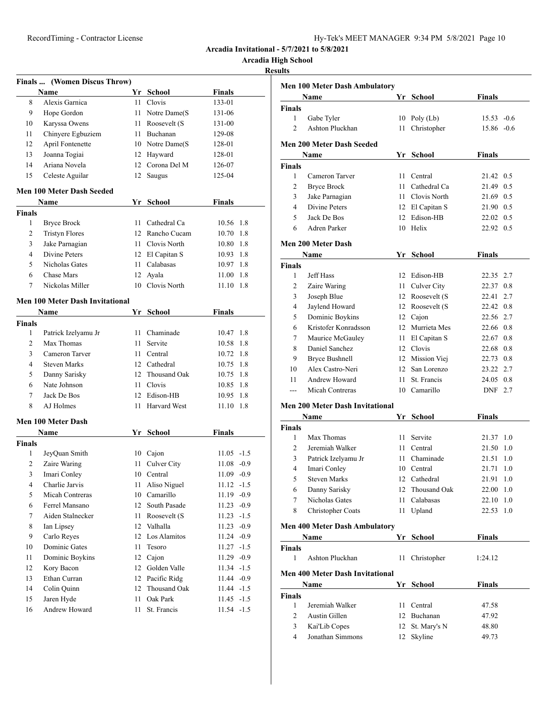| Hy-Tek's MEET MANAGER 9:34 PM 5/8/2021 Page 10 |  |  |  |  |
|------------------------------------------------|--|--|--|--|
|------------------------------------------------|--|--|--|--|

**Arcadia High School**

|                | Finals  (Women Discus Throw)           |          |                         |                                |  |
|----------------|----------------------------------------|----------|-------------------------|--------------------------------|--|
|                | Name                                   |          | Yr School               | <b>Finals</b>                  |  |
| 8              | Alexis Garnica                         | 11       | Clovis                  | 133-01                         |  |
| 9              | Hope Gordon                            |          | 11 Notre Dame(S         | 131-06                         |  |
| 10             | Karyssa Owens                          |          | 11 Roosevelt (S         | 131-00                         |  |
| 11             | Chinyere Egbuziem                      |          | 11 Buchanan             | 129-08                         |  |
| 12             | April Fontenette                       |          | 10 Notre Dame(S)        | 128-01                         |  |
| 13             | Joanna Togiai                          |          | 12 Hayward              | 128-01                         |  |
| 14             | Ariana Novela                          |          | 12 Corona Del M         | 126-07                         |  |
| 15             | Celeste Aguilar                        | 12       | Saugus                  | 125-04                         |  |
|                | <b>Men 100 Meter Dash Seeded</b>       |          |                         |                                |  |
|                | Name                                   |          | Yr School               | <b>Finals</b>                  |  |
| <b>Finals</b>  |                                        |          |                         |                                |  |
| 1              | <b>Bryce Brock</b>                     |          | 11 Cathedral Ca         | 10.56 1.8                      |  |
| 2              | <b>Tristyn Flores</b>                  |          | 12 Rancho Cucam         | 10.70 1.8                      |  |
| 3              | Jake Parnagian                         |          | 11 Clovis North         | 10.80 1.8                      |  |
| $\overline{4}$ | Divine Peters                          |          | 12 El Capitan S         | 10.93 1.8                      |  |
| 5              | Nicholas Gates                         |          | 11 Calabasas            | 10.97 1.8                      |  |
| 6              | Chase Mars                             |          | 12 Ayala                | 11.00 1.8                      |  |
| 7              | Nickolas Miller                        |          | 10 Clovis North         | 11.10<br>1.8                   |  |
|                | <b>Men 100 Meter Dash Invitational</b> |          |                         |                                |  |
|                | Name                                   |          | Yr School               | Finals                         |  |
| <b>Finals</b>  |                                        |          |                         |                                |  |
| 1              | Patrick Izelyamu Jr                    |          | 11 Chaminade            | 10.47 1.8                      |  |
| 2              | Max Thomas                             | 11       | Servite                 | 10.58 1.8                      |  |
| 3              | Cameron Tarver                         |          | 11 Central              | 10.72 1.8                      |  |
| 4              | <b>Steven Marks</b>                    |          | 12 Cathedral            | 10.75 1.8                      |  |
| 5              | Danny Sarisky                          |          | 12 Thousand Oak         | 10.75 1.8                      |  |
| 6              | Nate Johnson                           |          | 11 Clovis               | 10.85 1.8                      |  |
| 7              | Jack De Bos                            |          | 12 Edison-HB            | 10.95 1.8                      |  |
| 8              | AJ Holmes                              | 11       | <b>Harvard West</b>     | 11.10<br>1.8                   |  |
|                |                                        |          |                         |                                |  |
|                | <b>Men 100 Meter Dash</b><br>Name      |          | Yr School               | Finals                         |  |
| Finals         |                                        |          |                         |                                |  |
| 1              | JeyQuan Smith                          |          | 10 Cajon                | $11.05 -1.5$                   |  |
| 2              | Zaire Waring                           | 11 -     | Culver City             | $11.08 - 0.9$                  |  |
| 3              | Imari Conley                           |          | 10 Central              | $11.09 -0.9$                   |  |
| 4              | Charlie Jarvis                         |          | 11 Aliso Niguel         | $11.12 - 1.5$                  |  |
| 5              | Micah Contreras                        |          | 10 Camarillo            | 11.19 -0.9                     |  |
| 6              | Ferrel Mansano                         | 12       | South Pasade            | $11.23 -0.9$                   |  |
| 7              | Aiden Stalnecker                       |          | 11 Roosevelt (S         | $11.23 - 1.5$                  |  |
| 8              | Ian Lipsey                             |          | 12 Valhalla             | $11.23 -0.9$                   |  |
| 9              | Carlo Reyes                            |          | 12 Los Alamitos         |                                |  |
|                | Dominic Gates                          | 11       | Tesoro                  | $11.24 -0.9$<br>$11.27 - 1.5$  |  |
| 10<br>11       |                                        | 12       |                         | 11.29 -0.9                     |  |
|                | Dominic Boykins                        |          | Cajon                   |                                |  |
| 12             | Kory Bacon                             | 12       | Golden Valle            | $11.34 - 1.5$                  |  |
| 13             | Ethan Curran                           |          | 12 Pacific Ridg         | 11.44 -0.9                     |  |
| 14             | Colin Quinn                            |          | 12 Thousand Oak         | $11.44 - 1.5$                  |  |
| 15<br>16       | Jaren Hyde<br>Andrew Howard            | 11<br>11 | Oak Park<br>St. Francis | $11.45 - 1.5$<br>$11.54 - 1.5$ |  |
|                |                                        |          |                         |                                |  |

|                | <b>Men 100 Meter Dash Ambulatory</b>           |      |                           |                    |      |
|----------------|------------------------------------------------|------|---------------------------|--------------------|------|
|                | Name                                           |      | Yr School                 | <b>Finals</b>      |      |
| <b>Finals</b>  |                                                |      |                           |                    |      |
| $\mathbf{1}$   | Gabe Tyler                                     | 10   | Poly (Lb)                 | $15.53 -0.6$       |      |
| $\overline{2}$ | Ashton Pluckhan                                | 11   | Christopher               | $15.86 - 0.6$      |      |
|                | <b>Men 200 Meter Dash Seeded</b>               |      |                           |                    |      |
|                | Name                                           |      | Yr School                 | Finals             |      |
| <b>Finals</b>  |                                                |      |                           |                    |      |
| 1              | Cameron Tarver                                 |      | 11 Central                | 21.42 0.5          |      |
| 2              | <b>Bryce Brock</b>                             |      | 11 Cathedral Ca           | 21.49 0.5          |      |
| 3              | Jake Parnagian                                 |      | 11 Clovis North           | 21.69 0.5          |      |
| 4              | <b>Divine Peters</b>                           |      | 12 El Capitan S           | 21.90 0.5          |      |
| 5              | Jack De Bos                                    |      | 12 Edison-HB              | 22.02 0.5          |      |
| 6              | Adren Parker                                   |      | 10 Helix                  | 22.92 0.5          |      |
|                | Men 200 Meter Dash                             |      |                           |                    |      |
|                | Name                                           |      | Yr School                 | Finals             |      |
| <b>Finals</b>  |                                                |      |                           |                    |      |
| 1              | Jeff Hass                                      |      | 12 Edison-HB              | 22.35 2.7          |      |
| 2              | Zaire Waring                                   | 11   | Culver City               | 22.37              | 0.8  |
| 3              | Joseph Blue                                    |      | 12 Roosevelt (S           | 22.41              | 2.7  |
| 4              | Jaylend Howard                                 |      | 12 Roosevelt (S           | 22.42              | 0.8  |
| 5              | Dominic Boykins                                |      | 12 Cajon                  | 22.56 2.7          |      |
| 6              | Kristofer Konradsson                           |      | 12 Murrieta Mes           | 22.66 0.8          |      |
| 7              | Maurice McGauley                               |      | 11 El Capitan S           | 22.67 0.8          |      |
| 8              | Daniel Sanchez                                 |      | 12 Clovis                 | 22.68 0.8          |      |
| 9              | <b>Bryce Bushnell</b>                          |      | 12 Mission Viej           | 22.73 0.8          |      |
| 10             | Alex Castro-Neri                               |      | 12 San Lorenzo            | 23.22 2.7          |      |
| 11             | Andrew Howard                                  |      | 11 St. Francis            | 24.05 0.8          |      |
| ---            | Micah Contreras                                |      | 10 Camarillo              | DNF 2.7            |      |
|                |                                                |      |                           |                    |      |
|                | <b>Men 200 Meter Dash Invitational</b><br>Name |      | Yr School                 | <b>Finals</b>      |      |
| <b>Finals</b>  |                                                |      |                           |                    |      |
| 1              | Max Thomas                                     | 11 - | Servite                   | 21.37 1.0          |      |
| 2              | Jeremiah Walker                                | 11 - | Central                   | 21.50              | 1.0  |
| 3              | Patrick Izelyamu Jr                            |      | 11 Chaminade              | 21.51              | 1.0  |
| 4              | Imari Conley                                   |      | 10 Central                | 21.71              | -1.0 |
| 5              | <b>Steven Marks</b>                            |      | 12 Cathedral              | 21.91              | 1.0  |
|                |                                                |      |                           |                    |      |
| 6              | Danny Sarisky                                  |      | 12 Thousand Oak           | 22.00 1.0          |      |
| 7<br>8         | Nicholas Gates<br>Christopher Coats            |      | 11 Calabasas<br>11 Upland | 22.10 1.0<br>22.53 |      |
|                |                                                |      |                           |                    | 1.0  |
|                | <b>Men 400 Meter Dash Ambulatory</b>           |      | Yr School                 | <b>Finals</b>      |      |
| <b>Finals</b>  | Name                                           |      |                           |                    |      |
| 1              | Ashton Pluckhan                                | 11   | Christopher               | 1:24.12            |      |
|                | <b>Men 400 Meter Dash Invitational</b>         |      |                           |                    |      |
|                | Name                                           |      | Yr School                 | <b>Finals</b>      |      |
| <b>Finals</b>  |                                                |      |                           |                    |      |
| 1              | Jeremiah Walker                                | 11 - | Central                   | 47.58              |      |
| 2              | Austin Gillen                                  |      | 12 Buchanan               | 47.92              |      |
| 3              | Kai'Lib Copes                                  |      | 12 St. Mary's N           | 48.80              |      |
| 4              | Jonathan Simmons                               |      | 12 Skyline                | 49.73              |      |
|                |                                                |      |                           |                    |      |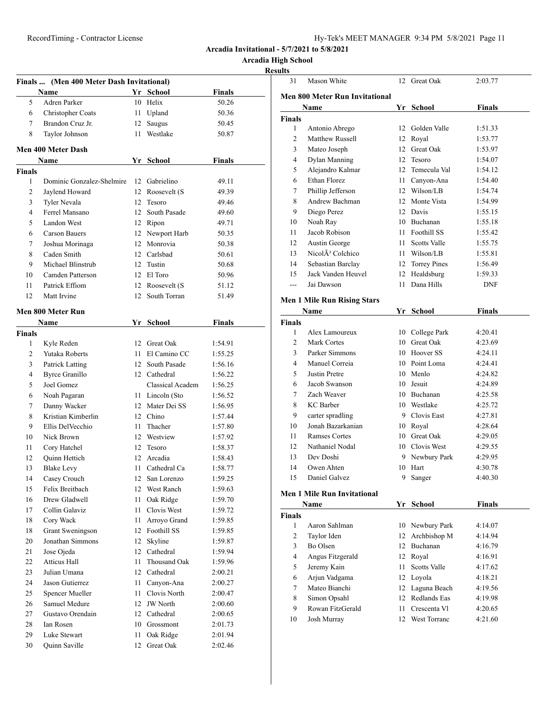| Hy-Tek's MEET MANAGER 9:34 PM 5/8/2021 Page 11 |  |  |  |  |
|------------------------------------------------|--|--|--|--|
|------------------------------------------------|--|--|--|--|

**Arcadia High School**

|                | Finals  (Men 400 Meter Dash Invitational) |         |                  |               |
|----------------|-------------------------------------------|---------|------------------|---------------|
|                | Name                                      |         | Yr School        | <b>Finals</b> |
| 5              | Adren Parker                              |         | 10 Helix         | 50.26         |
| 6              | Christopher Coats                         | 11      | Upland           | 50.36         |
| 7              | Brandon Cruz Jr.                          | 12      | Saugus           | 50.45         |
| 8              | Taylor Johnson                            | 11 -    | Westlake         | 50.87         |
|                |                                           |         |                  |               |
|                | <b>Men 400 Meter Dash</b>                 |         |                  |               |
|                | Name                                      |         | Yr School        | Finals        |
| <b>Finals</b>  |                                           |         |                  |               |
| 1              | Dominic Gonzalez-Shelmire                 |         | 12 Gabrielino    | 49.11         |
| 2              | Jaylend Howard                            |         | 12 Roosevelt (S  | 49.39         |
| 3              | Tyler Nevala                              | 12      | Tesoro           | 49.46         |
| $\overline{4}$ | Ferrel Mansano                            |         | 12 South Pasade  | 49.60         |
| 5              | Landon West                               |         | 12 Ripon         | 49.71         |
| 6              | Carson Bauers                             |         | 12 Newport Harb  | 50.35         |
| 7              | Joshua Morinaga                           |         | 12 Monrovia      | 50.38         |
| 8              | Caden Smith                               |         | 12 Carlsbad      | 50.61         |
| 9              | Michael Blinstrub                         |         | 12 Tustin        | 50.68         |
| 10             | Camden Patterson                          |         | 12 El Toro       | 50.96         |
| 11             | Patrick Effiom                            |         | 12 Roosevelt (S  | 51.12         |
| 12             | Matt Irvine                               |         | 12 South Torran  | 51.49         |
|                | Men 800 Meter Run                         |         |                  |               |
|                | Name                                      |         | Yr School        | <b>Finals</b> |
| <b>Finals</b>  |                                           |         |                  |               |
| 1              | Kyle Reden                                | 12      | Great Oak        | 1:54.91       |
| 2              | Yutaka Roberts                            | 11      | El Camino CC     | 1:55.25       |
| 3              | Patrick Latting                           |         | 12 South Pasade  | 1:56.16       |
| 4              | <b>Byrce Granillo</b>                     |         | 12 Cathedral     | 1:56.22       |
| 5              | Joel Gomez                                |         | Classical Academ | 1:56.25       |
| 6              | Noah Pagaran                              |         | 11 Lincoln (Sto  | 1:56.52       |
| 7              | Danny Wacker                              |         | 12 Mater Dei SS  | 1:56.95       |
| 8              | Kristian Kimberlin                        |         | 12 Chino         | 1:57.44       |
| 9              | Ellis DelVecchio                          | 11      | Thacher          | 1:57.80       |
| 10             | Nick Brown                                |         | 12 Westview      | 1:57.92       |
| 11             | Cory Hatchel                              | 12      | Tesoro           | 1:58.37       |
| 12             | Ouinn Hettich                             | $12-12$ | Arcadia          | 1:58.43       |
| 13             | <b>Blake Levy</b>                         | 11 -    | Cathedral Ca     | 1:58.77       |
| 14             | Casey Crouch                              |         | 12 San Lorenzo   | 1:59.25       |
| 15             | Felix Breitbach                           | 12      | West Ranch       | 1:59.63       |
| 16             | Drew Gladwell                             | 11      | Oak Ridge        | 1:59.70       |
| 17             | Collin Galaviz                            | 11      | Clovis West      | 1:59.72       |
| 18             | Cory Wack                                 | 11      | Arroyo Grand     | 1:59.85       |
| 18             | Grant Sweningson                          |         | 12 Foothill SS   | 1:59.85       |
| 20             | Jonathan Simmons                          | 12      | Skyline          | 1:59.87       |
| 21             | Jose Ojeda                                | 12      | Cathedral        | 1:59.94       |
| 22             | Atticus Hall                              | 11      | Thousand Oak     | 1:59.96       |
| 23             | Julian Umana                              | 12      | Cathedral        | 2:00.21       |
| 24             | Jason Gutierrez                           | 11      | Canyon-Ana       | 2:00.27       |
| 25             | Spencer Mueller                           | 11      | Clovis North     | 2:00.47       |
| 26             | Samuel Medure                             | 12      | <b>JW</b> North  | 2:00.60       |
| 27             | Gustavo Orendain                          |         | 12 Cathedral     | 2:00.65       |
| 28             | Ian Rosen                                 | 10      | Grossmont        | 2:01.73       |
| 29             | Luke Stewart                              | 11      | Oak Ridge        | 2:01.94       |
| 30             | Quinn Saville                             | 12      | Great Oak        | 2:02.46       |

| 31             | Mason White                           |    | 12 Great Oak                       | 2:03.77            |
|----------------|---------------------------------------|----|------------------------------------|--------------------|
|                | <b>Men 800 Meter Run Invitational</b> |    |                                    |                    |
|                | Name                                  |    | Yr School                          | <b>Finals</b>      |
| Finals         |                                       |    |                                    |                    |
| 1              | Antonio Abrego                        | 12 | Golden Valle                       | 1:51.33            |
| 2              | Matthew Russell                       |    | 12 Royal                           | 1:53.77            |
| 3              | Mateo Joseph                          |    | 12 Great Oak                       | 1:53.97            |
| 4              | Dylan Manning                         |    | 12 Tesoro                          | 1:54.07            |
| 5              | Alejandro Kalmar                      |    | 12 Temecula Val                    | 1:54.12            |
| 6              | Ethan Florez                          |    | 11 Canyon-Ana                      | 1:54.40            |
| 7              | Phillip Jefferson                     |    | 12 Wilson/LB                       | 1:54.74            |
| 8              | Andrew Bachman                        |    | 12 Monte Vista                     | 1:54.99            |
| 9              | Diego Perez                           |    | 12 Davis                           | 1:55.15            |
| 10             | Noah Ray                              |    | 10 Buchanan                        | 1:55.18            |
| 11             | Jacob Robison                         |    | 11 Foothill SS                     | 1:55.42            |
| 12             | Austin George                         |    | 11 Scotts Valle                    | 1:55.75            |
| 13             | Nicol $\tilde{A}^3$ Colchico          |    | 11 Wilson/LB                       | 1:55.81            |
| 14             | Sebastian Barclay                     |    | 12 Torrey Pines                    | 1:56.49            |
| 15             | Jack Vanden Heuvel                    |    | 12 Healdsburg                      | 1:59.33            |
| $\overline{a}$ | Jai Dawson                            | 11 | Dana Hills                         | <b>DNF</b>         |
|                |                                       |    |                                    |                    |
|                | <b>Men 1 Mile Run Rising Stars</b>    |    |                                    |                    |
|                | Name                                  |    | Yr School                          | <b>Finals</b>      |
| Finals         |                                       |    |                                    |                    |
| 1              | Alex Lamoureux                        |    | 10 College Park                    | 4:20.41            |
| 2              | Mark Cortes                           |    | 10 Great Oak                       | 4:23.69            |
| 3              | Parker Simmons                        |    | 10 Hoover SS                       | 4:24.11            |
| 4              | Manuel Correia                        |    | 10 Point Loma                      | 4:24.41            |
| 5              | Justin Pretre                         |    | 10 Menlo                           | 4:24.82            |
| 6              | Jacob Swanson                         |    | 10 Jesuit                          | 4:24.89            |
| 7              | Zach Weaver                           |    | 10 Buchanan                        | 4:25.58            |
| 8              | <b>KC</b> Barber                      |    | 10 Westlake                        | 4:25.72            |
| 9              | carter spradling                      |    | 9 Clovis East                      | 4:27.81            |
| 10             | Jonah Bazarkanian                     |    | 10 Royal                           | 4:28.64            |
| 11             | <b>Ramses Cortes</b>                  |    | 10 Great Oak                       | 4:29.05            |
| 12             | Nathaniel Nodal                       |    | 10 Clovis West                     | 4:29.55            |
| 13             | Dev Doshi                             |    | 9 Newbury Park                     | 4:29.95            |
| 14             | Owen Ahten                            |    | 10 Hart                            | 4:30.78            |
| 15             | Daniel Galvez                         | 9  | Sanger                             | 4:40.30            |
|                | <b>Men 1 Mile Run Invitational</b>    |    |                                    |                    |
|                | Name                                  |    | Yr School                          | <b>Finals</b>      |
| Finals         |                                       |    |                                    |                    |
| $\mathbf{1}$   | Aaron Sahlman                         |    | 10 Newbury Park                    | 4:14.07            |
| $\overline{c}$ | Taylor Iden                           | 12 | Archbishop M                       | 4:14.94            |
| 3              | Bo Olsen                              | 12 | Buchanan                           | 4:16.79            |
| $\overline{4}$ | Angus Fitzgerald                      |    | 12 Royal                           | 4:16.91            |
| 5              | Jeremy Kain                           | 11 | Scotts Valle                       | 4:17.62            |
| 6              | Arjun Vadgama                         |    | 12 Loyola                          | 4:18.21            |
|                | Mateo Bianchi                         |    | 12 Laguna Beach                    | 4:19.56            |
|                |                                       |    | 12 Redlands Eas                    | 4:19.98            |
| 7              |                                       |    |                                    |                    |
| 8              | Simon Opsahl                          |    |                                    |                    |
| 9<br>10        | Rowan FitzGerald<br>Josh Murray       |    | 11 Crescenta VI<br>12 West Torranc | 4:20.65<br>4:21.60 |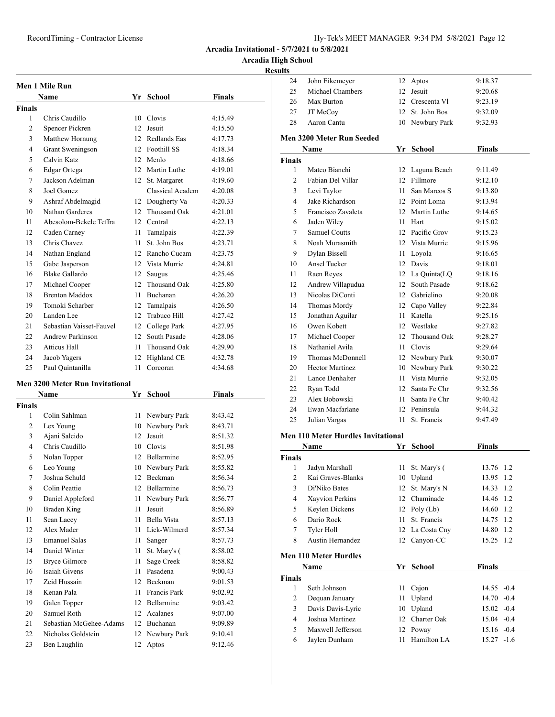#### RecordTiming - Contractor License Hy-Tek's MEET MANAGER 9:34 PM 5/8/2021 Page 12

**Arcadia Invitational - 5/7/2021 to 5/8/2021**

**Arcadia High School**

#### **Results**

| Men 1 Mile Run |                          |                 |                     |               |
|----------------|--------------------------|-----------------|---------------------|---------------|
|                | <b>Name</b>              | Yr              | <b>School</b>       | <b>Finals</b> |
| Finals         |                          |                 |                     |               |
| 1              | Chris Caudillo           | 10              | Clovis              | 4:15.49       |
| 2              | Spencer Pickren          | 12              | Jesuit              | 4:15.50       |
| 3              | Matthew Hornung          | 12 <sup>2</sup> | Redlands Eas        | 4:17.73       |
| $\overline{4}$ | Grant Sweningson         | 12              | Foothill SS         | 4:18.34       |
| 5              | Calvin Katz              | 12              | Menlo               | 4:18.66       |
| 6              | Edgar Ortega             | 12 <sup>2</sup> | Martin Luthe        | 4:19.01       |
| 7              | Jackson Adelman          | 12              | St. Margaret        | 4:19.60       |
| 8              | Joel Gomez               |                 | Classical Academ    | 4:20.08       |
| 9              | Ashraf Abdelmagid        | 12              | Dougherty Va        | 4:20.33       |
| 10             | Nathan Garderes          | 12              | Thousand Oak        | 4:21.01       |
| 11             | Abesolom-Bekele Teffra   | 12              | Central             | 4:22.13       |
| 12             | Caden Carney             | 11              | Tamalpais           | 4:22.39       |
| 13             | Chris Chavez             | 11              | St. John Bos        | 4:23.71       |
| 14             | Nathan England           | 12              | Rancho Cucam        | 4:23.75       |
| 15             | Gabe Jasperson           | 12              | Vista Murrie        | 4:24.81       |
| 16             | Blake Gallardo           | 12              | Saugus              | 4:25.46       |
| 17             | Michael Cooper           | 12              | <b>Thousand Oak</b> | 4:25.80       |
| 18             | <b>Brenton Maddox</b>    | 11              | Buchanan            | 4:26.20       |
| 19             | Tomoki Scharber          | 12              | Tamalpais           | 4:26.50       |
| 20             | Landen Lee               | 12              | Trabuco Hill        | 4:27.42       |
| 21             | Sebastian Vaisset-Fauvel | 12              | College Park        | 4:27.95       |
| 22             | Andrew Parkinson         | 12 <sub>1</sub> | South Pasade        | 4:28.06       |
| 23             | <b>Atticus Hall</b>      | 11              | Thousand Oak        | 4:29.90       |
| 24             | Jacob Yagers             | 12              | Highland CE         | 4:32.78       |
| 25             | Paul Quintanilla         | 11              | Corcoran            | 4:34.68       |

#### **Men 3200 Meter Run Invitational**

|                | Name                    | Yr | School            | Finals  |
|----------------|-------------------------|----|-------------------|---------|
| <b>Finals</b>  |                         |    |                   |         |
| 1              | Colin Sahlman           | 11 | Newbury Park      | 8:43.42 |
| $\overline{2}$ | Lex Young               | 10 | Newbury Park      | 8:43.71 |
| 3              | Ajani Salcido           | 12 | Jesuit            | 8:51.32 |
| $\overline{4}$ | Chris Caudillo          | 10 | Clovis            | 8:51.98 |
| 5              | Nolan Topper            | 12 | <b>Bellarmine</b> | 8:52.95 |
| 6              | Leo Young               | 10 | Newbury Park      | 8:55.82 |
| 7              | Joshua Schuld           | 12 | <b>Beckman</b>    | 8:56.34 |
| 8              | Colin Peattie           | 12 | <b>Bellarmine</b> | 8:56.73 |
| 9              | Daniel Appleford        | 11 | Newbury Park      | 8:56.77 |
| 10             | Braden King             | 11 | Jesuit            | 8:56.89 |
| 11             | Sean Lacey              | 11 | Bella Vista       | 8:57.13 |
| 12             | Alex Mader              | 11 | Lick-Wilmerd      | 8:57.34 |
| 13             | <b>Emanuel Salas</b>    | 11 | Sanger            | 8:57.73 |
| 14             | Daniel Winter           | 11 | St. Mary's (      | 8:58.02 |
| 15             | <b>Bryce Gilmore</b>    | 11 | Sage Creek        | 8:58.82 |
| 16             | Isaiah Givens           | 11 | Pasadena          | 9:00.43 |
| 17             | Zeid Hussain            | 12 | Beckman           | 9:01.53 |
| 18             | Kenan Pala              | 11 | Francis Park      | 9:02.92 |
| 19             | Galen Topper            | 12 | <b>Bellarmine</b> | 9:03.42 |
| 20             | Samuel Roth             | 12 | Acalanes          | 9:07.00 |
| 21             | Sebastian McGehee-Adams | 12 | Buchanan          | 9:09.89 |
| 22             | Nicholas Goldstein      | 12 | Newbury Park      | 9:10.41 |
| 23             | Ben Laughlin            | 12 | Aptos             | 9:12.46 |

| 24             | John Eikemeyer                   | 12              | Aptos           | 9:18.37       |  |
|----------------|----------------------------------|-----------------|-----------------|---------------|--|
| 25             | Michael Chambers                 | 12              | Jesuit          | 9:20.68       |  |
| 26             | Max Burton                       |                 | 12 Crescenta VI | 9:23.19       |  |
| 27             | JT McCoy                         | 12              | St. John Bos    | 9:32.09       |  |
| 28             | Aaron Cantu                      | 10              | Newbury Park    | 9:32.93       |  |
|                | <b>Men 3200 Meter Run Seeded</b> |                 |                 |               |  |
|                | Name                             |                 | Yr School       | <b>Finals</b> |  |
| Finals         |                                  |                 |                 |               |  |
| 1              | Mateo Bianchi                    | 12              | Laguna Beach    | 9:11.49       |  |
| $\overline{c}$ | Fabian Del Villar                | 12 <sup>2</sup> | Fillmore        | 9:12.10       |  |
| 3              | Levi Taylor                      | 11              | San Marcos S    | 9:13.80       |  |
| 4              | Jake Richardson                  |                 | 12 Point Loma   | 9:13.94       |  |
| 5              | Francisco Zavaleta               |                 | 12 Martin Luthe | 9:14.65       |  |
| 6              | Jaden Wiley                      | 11.             | Hart            | 9:15.02       |  |
| 7              | Samuel Coutts                    |                 | 12 Pacific Grov | 9:15.23       |  |
| 8              | Noah Murasmith                   |                 | 12 Vista Murrie | 9:15.96       |  |
| 9              | Dylan Bissell                    | 11              | Loyola          | 9:16.65       |  |
| 10             | Ansel Tucker                     | 12              | Davis           | 9:18.01       |  |
| 11             | Raen Reyes                       | 12              | La Quinta(LQ    | 9:18.16       |  |
| 12             | Andrew Villapudua                | 12              | South Pasade    | 9:18.62       |  |
| 13             | Nicolas DiConti                  |                 | 12 Gabrielino   | 9:20.08       |  |
| 14             | Thomas Mordy                     |                 | 12 Capo Valley  | 9:22.84       |  |
| 15             | Jonathan Aguilar                 | 11              | Katella         | 9:25.16       |  |
| 16             | Owen Kobett                      |                 | 12 Westlake     | 9:27.82       |  |
| 17             | Michael Cooper                   | 12              | Thousand Oak    | 9:28.27       |  |
| 18             | Nathaniel Avila                  | 11              | Clovis          | 9:29.64       |  |
| 19             | Thomas McDonnell                 |                 | 12 Newbury Park | 9:30.07       |  |
| 20             | <b>Hector Martinez</b>           |                 | 10 Newbury Park | 9:30.22       |  |
| 21             | Lance Denhalter                  | 11 -            | Vista Murrie    | 9:32.05       |  |
| 22             | Ryan Todd                        | 12              | Santa Fe Chr    | 9:32.56       |  |
| 23             | Alex Bobowski                    | $11 -$          | Santa Fe Chr    | 9:40.42       |  |
| 24             | Ewan Macfarlane                  | 12              | Peninsula       | 9:44.32       |  |
| 25             | Julian Vargas                    | 11              | St. Francis     | 9:47.49       |  |
|                |                                  |                 |                 |               |  |

#### **Men 110 Meter Hurdles Invitational**

|                | Name                         | Yr | School          | <b>Finals</b> |
|----------------|------------------------------|----|-----------------|---------------|
| <b>Finals</b>  |                              |    |                 |               |
| 1              | Jadyn Marshall               | 11 | St. Mary's (    | 13.76 1.2     |
| $\mathfrak{D}$ | Kai Graves-Blanks            | 10 | Upland          | 13.95<br>1.2  |
| 3              | Di'Niko Bates                | 12 | St. Mary's N    | 14.33<br>1.2  |
| 4              | Xayvion Perkins              | 12 | Chaminade       | 14.46<br>1.2  |
| 5              | Keylen Dickens               | 12 | Poly (Lb)       | 14.60<br>1.2  |
| 6              | Dario Rock                   | 11 | St. Francis     | 14.75<br>1.2  |
| 7              | Tyler Holl                   |    | 12 La Costa Cny | 14.80<br>1.2  |
| 8              | Austin Hernandez             | 12 | Canyon-CC       | 15.25 1.2     |
|                | <b>Men 110 Meter Hurdles</b> |    |                 |               |
|                | Name                         | Yr | School          | <b>Finals</b> |
| <b>Finals</b>  |                              |    |                 |               |
| 1              | Seth Johnson                 | 11 | Cajon           | $14.55 - 0.4$ |
| 2              | Dequan January               | 11 | Upland          | $14.70 - 0.4$ |
| 3              | Davis Davis-Lyric            | 10 | Upland          | $15.02 -0.4$  |
| 4              | Joshua Martinez              | 12 | Charter Oak     | $15.04 - 0.4$ |
| 5              | Maxwell Jefferson            |    | 12 Poway        | $15.16 - 0.4$ |

Jaylen Dunham 11 Hamilton LA 15.27 -1.6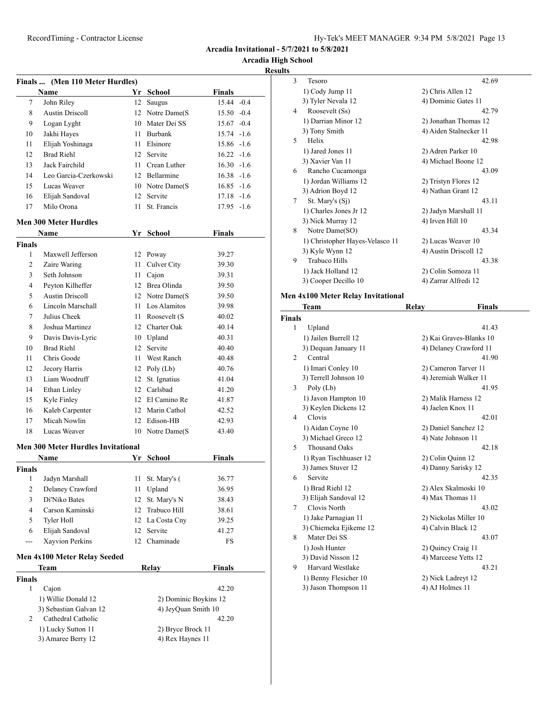| Hy-Tek's MEET MANAGER 9:34 PM 5/8/2021 Page 13 |  |  |  |
|------------------------------------------------|--|--|--|
|------------------------------------------------|--|--|--|

**Arcadia High School**

# **Results**

|               | Finals  (Men 110 Meter Hurdles)           |      |                       |               |  |
|---------------|-------------------------------------------|------|-----------------------|---------------|--|
|               | Name                                      |      | Yr School             | Finals        |  |
| 7             | John Riley                                |      | 12 Saugus             | 15.44 -0.4    |  |
| 8             | <b>Austin Driscoll</b>                    |      | 12 Notre Dame(S)      | $15.50 -0.4$  |  |
| 9             | Logan Lyght                               |      | 10 Mater Dei SS       | $15.67 -0.4$  |  |
| 10            | Jakhi Hayes                               |      | 11 Burbank            | $15.74 -1.6$  |  |
| 11            | Elijah Yoshinaga                          |      | 11 Elsinore           | 15.86 -1.6    |  |
| 12            | <b>Brad Riehl</b>                         |      | 12 Servite            | $16.22 - 1.6$ |  |
| 13            | Jack Fairchild                            |      | 11 Crean Luther       | $16.30 -1.6$  |  |
| 14            | Leo Garcia-Czerkowski                     |      | 12 Bellarmine         | $16.38 - 1.6$ |  |
| 15            | Lucas Weaver                              |      | 10 Notre Dame(S)      | $16.85 - 1.6$ |  |
| 16            | Elijah Sandoval                           |      | 12 Servite            | $17.18 - 1.6$ |  |
| 17            | Milo Orona                                |      | 11 St. Francis        | 17.95 -1.6    |  |
|               | <b>Men 300 Meter Hurdles</b>              |      |                       |               |  |
|               | Name                                      |      | Yr School             | <b>Finals</b> |  |
| <b>Finals</b> |                                           |      |                       |               |  |
| 1             | Maxwell Jefferson                         |      | 12 Poway              | 39.27         |  |
| 2             | Zaire Waring                              | 11   | Culver City           | 39.30         |  |
| 3             | Seth Johnson                              | 11 - | Cajon                 | 39.31         |  |
| 4             | Peyton Kilheffer                          |      | 12 Brea Olinda        | 39.50         |  |
| 5             | <b>Austin Driscoll</b>                    |      | 12 Notre Dame(S)      | 39.50         |  |
| 6             | Lincoln Marschall                         |      | 11 Los Alamitos       | 39.98         |  |
| $\tau$        | Julius Cheek                              |      | 11 Roosevelt (S       | 40.02         |  |
| 8             | Joshua Martinez                           |      | 12 Charter Oak        | 40.14         |  |
| 9             | Davis Davis-Lyric                         |      | 10 Upland             | 40.31         |  |
| 10            | <b>Brad Riehl</b>                         |      | 12 Servite            | 40.40         |  |
| 11            | Chris Goode                               |      | 11 West Ranch         | 40.48         |  |
| 12            | Jecory Harris                             |      | 12 Poly $(Lb)$        | 40.76         |  |
| 13            | Liam Woodruff                             |      | 12 St. Ignatius       | 41.04         |  |
| 14            | Ethan Linley                              |      | 12 Carlsbad           | 41.20         |  |
| 15            | Kyle Finley                               |      | 12 El Camino Re       | 41.87         |  |
| 16            | Kaleb Carpenter                           |      | 12 Marin Cathol       | 42.52         |  |
| 17            | Micah Nowlin                              |      | 12 Edison-HB          | 42.93         |  |
| 18            | Lucas Weaver                              |      | 10 Notre Dame(S       | 43.40         |  |
|               | <b>Men 300 Meter Hurdles Invitational</b> |      |                       |               |  |
|               | Name                                      | Yr   | School                | Finals        |  |
| Finals        |                                           |      |                       |               |  |
|               | 1 Jadyn Marshall                          |      | 11 St. Mary's (       | 36.77         |  |
| 2             | Delaney Crawford                          | 11   | Upland                | 36.95         |  |
| 3             | Di'Niko Bates                             | 12   | St. Mary's N          | 38.43         |  |
| 4             | Carson Kaminski                           | 12   | Trabuco Hill          | 38.61         |  |
| 5             | Tyler Holl                                |      | 12 La Costa Cny       | 39.25         |  |
| 6             | Elijah Sandoval                           | 12   | Servite               | 41.27         |  |
| ---           | Xayvion Perkins                           | 12   | Chaminade             | FS            |  |
|               | Men 4x100 Meter Relay Seeded              |      |                       |               |  |
|               | Team                                      |      | Relay                 | <b>Finals</b> |  |
| Finals        |                                           |      |                       |               |  |
| 1             | Cajon                                     |      |                       | 42.20         |  |
|               | 1) Willie Donald 12                       |      | 2) Dominic Boykins 12 |               |  |
|               | 3) Sebastian Galvan 12                    |      | 4) JeyQuan Smith 10   |               |  |
| 2             | Cathedral Catholic                        |      |                       | 42.20         |  |
|               | 1) Lucky Sutton 11                        |      | 2) Bryce Brock 11     |               |  |
|               | 3) Amaree Berry 12                        |      | 4) Rex Haynes 11      |               |  |
|               |                                           |      |                       |               |  |

| $\mathcal{F}$ | Tesoro                          | 42.69                  |
|---------------|---------------------------------|------------------------|
|               | 1) Cody Jump 11                 | 2) Chris Allen 12      |
|               | 3) Tyler Nevala 12              | 4) Dominic Gates 11    |
| 4             | Roosevelt (Ss)                  | 42.79                  |
|               | 1) Darrian Minor 12             | 2) Jonathan Thomas 12  |
|               | 3) Tony Smith                   | 4) Aiden Stalnecker 11 |
| 5             | Helix                           | 42.98                  |
|               | 1) Jared Jones 11               | 2) Adren Parker 10     |
|               | 3) Xavier Van 11                | 4) Michael Boone 12    |
| 6             | Rancho Cucamonga                | 43.09                  |
|               | 1) Jordan Williams 12           | 2) Tristyn Flores 12   |
|               | 3) Adrion Boyd 12               | 4) Nathan Grant 12     |
| 7             | St. Mary's $(S1)$               | 43.11                  |
|               | 1) Charles Jones Jr 12          | 2) Jadyn Marshall 11   |
|               | 3) Nick Murray 12               | 4) Irven Hill 10       |
| 8             | Notre Dame(SO)                  | 43.34                  |
|               | 1) Christopher Hayes-Velasco 11 | 2) Lucas Weaver 10     |
|               | 3) Kyle Wynn 12                 | 4) Austin Driscoll 12  |
| 9             | Trabuco Hills                   | 43.38                  |
|               | 1) Jack Holland 12              | 2) Colin Somoza 11     |
|               | 3) Cooper Decillo 10            | 4) Zarrar Alfredi 12   |
|               |                                 |                        |

# **Men 4x100 Meter Relay Invitational**

|               | Team                    | Relay              | <b>Finals</b>           |
|---------------|-------------------------|--------------------|-------------------------|
| <b>Finals</b> |                         |                    |                         |
| 1             | Upland                  |                    | 41.43                   |
|               | 1) Jailen Burrell 12    |                    | 2) Kai Graves-Blanks 10 |
|               | 3) Dequan January 11    |                    | 4) Delaney Crawford 11  |
| $\mathcal{L}$ | Central                 |                    | 41.90                   |
|               | 1) Imari Conley 10      |                    | 2) Cameron Tarver 11    |
|               | 3) Terrell Johnson 10   |                    | 4) Jeremiah Walker 11   |
| 3             | Poly (Lb)               |                    | 41.95                   |
|               | 1) Javon Hampton 10     |                    | 2) Malik Harness 12     |
|               | 3) Keylen Dickens 12    | 4) Jaelen Knox 11  |                         |
| 4             | Clovis                  |                    | 42.01                   |
|               | 1) Aidan Coyne 10       |                    | 2) Daniel Sanchez 12    |
|               | 3) Michael Greco 12     | 4) Nate Johnson 11 |                         |
| 5             | <b>Thousand Oaks</b>    |                    | 42.18                   |
|               | 1) Ryan Tischhuaser 12  | 2) Colin Quinn 12  |                         |
|               | 3) James Stuver 12      |                    | 4) Danny Sarisky 12     |
| 6             | Servite                 |                    | 42.35                   |
|               | 1) Brad Riehl 12        |                    | 2) Alex Skalmoski 10    |
|               | 3) Elijah Sandoval 12   | 4) Max Thomas 11   |                         |
| 7             | Clovis North            |                    | 43.02                   |
|               | 1) Jake Parnagian 11    |                    | 2) Nickolas Miller 10   |
|               | 3) Chiemeka Ejikeme 12  | 4) Calvin Black 12 |                         |
| 8             | Mater Dei SS            |                    | 43.07                   |
|               | 1) Josh Hunter          | 2) Quincy Craig 11 |                         |
|               | 3) David Nisson 12      |                    | 4) Marceese Yetts 12    |
| 9             | <b>Harvard Westlake</b> |                    | 43.21                   |
|               | 1) Benny Flesicher 10   | 2) Nick Ladreyt 12 |                         |
|               | 3) Jason Thompson 11    | 4) AJ Holmes 11    |                         |
|               |                         |                    |                         |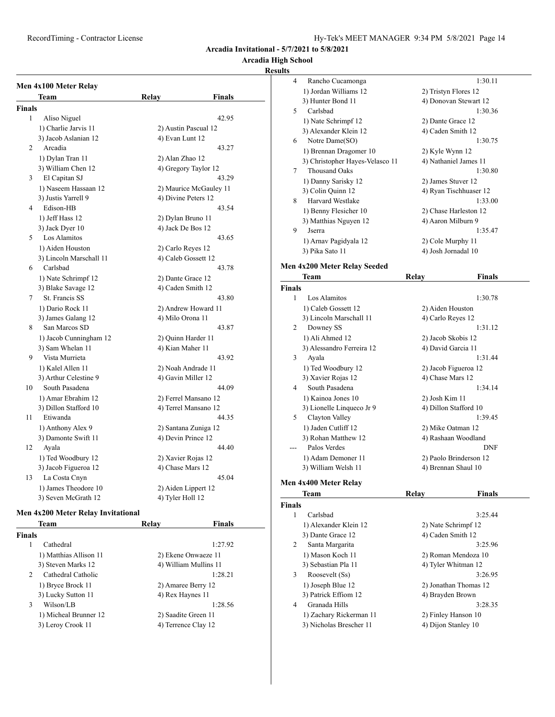#### **Arcadia High School**

#### **Results**

|                | Men 4x100 Meter Relay   |                     |                        |
|----------------|-------------------------|---------------------|------------------------|
|                | Team                    | Relay               | <b>Finals</b>          |
| Finals         |                         |                     |                        |
| 1              | Aliso Niguel            |                     | 42.95                  |
|                | 1) Charlie Jarvis 11    |                     | 2) Austin Pascual 12   |
|                | 3) Jacob Aslanian 12    | 4) Evan Lunt 12     |                        |
| $\overline{c}$ | Arcadia                 |                     | 43.27                  |
|                | 1) Dylan Tran 11        | 2) Alan Zhao 12     |                        |
|                | 3) William Chen 12      |                     | 4) Gregory Taylor 12   |
| 3              | El Capitan SJ           |                     | 43.29                  |
|                | 1) Naseem Hassaan 12    |                     | 2) Maurice McGauley 11 |
|                | 3) Justis Yarrell 9     | 4) Divine Peters 12 |                        |
| $\overline{4}$ | Edison-HB               |                     | 43.54                  |
|                | 1) Jeff Hass 12         | 2) Dylan Bruno 11   |                        |
|                | 3) Jack Dyer 10         | 4) Jack De Bos 12   |                        |
| 5              | Los Alamitos            |                     | 43.65                  |
|                | 1) Aiden Houston        | 2) Carlo Reyes 12   |                        |
|                | 3) Lincoln Marschall 11 | 4) Caleb Gossett 12 |                        |
| 6              | Carlsbad                |                     | 43.78                  |
|                | 1) Nate Schrimpf 12     | 2) Dante Grace 12   |                        |
|                | 3) Blake Savage 12      | 4) Caden Smith 12   |                        |
| 7              | St. Francis SS          |                     | 43.80                  |
|                | 1) Dario Rock 11        |                     | 2) Andrew Howard 11    |
|                | 3) James Galang 12      | 4) Milo Orona 11    |                        |
| 8              | San Marcos SD           |                     | 43.87                  |
|                | 1) Jacob Cunningham 12  | 2) Quinn Harder 11  |                        |
|                | 3) Sam Whelan 11        | 4) Kian Maher 11    |                        |
| 9              | Vista Murrieta          |                     | 43.92                  |
|                | 1) Kalel Allen 11       |                     | 2) Noah Andrade 11     |
|                | 3) Arthur Celestine 9   | 4) Gavin Miller 12  |                        |
| 10             | South Pasadena          |                     | 44.09                  |
|                | 1) Amar Ebrahim 12      |                     | 2) Ferrel Mansano 12   |
|                | 3) Dillon Stafford 10   |                     | 4) Terrel Mansano 12   |
| 11             | Etiwanda                |                     | 44.35                  |
|                | 1) Anthony Alex 9       |                     | 2) Santana Zuniga 12   |
|                | 3) Damonte Swift 11     | 4) Devin Prince 12  |                        |
| 12             | Ayala                   |                     | 44.40                  |
|                | 1) Ted Woodbury 12      | 2) Xavier Rojas 12  |                        |
|                | 3) Jacob Figueroa 12    | 4) Chase Mars 12    |                        |
| 13             | La Costa Cnyn           |                     | 45.04                  |
|                | 1) James Theodore 10    | 2) Aiden Lippert 12 |                        |
|                | 3) Seven McGrath 12     | 4) Tyler Holl 12    |                        |

#### **Men 4x200 Meter Relay Invitational**

| Team<br>Relav  |                        | <b>Finals</b>       |                       |
|----------------|------------------------|---------------------|-----------------------|
| <b>Finals</b>  |                        |                     |                       |
| 1              | Cathedral              |                     | 1:27.92               |
|                | 1) Matthias Allison 11 | 2) Ekene Onwaeze 11 |                       |
|                | 3) Steven Marks 12     |                     | 4) William Mullins 11 |
| $\mathfrak{D}$ | Cathedral Catholic     |                     | 1:28.21               |
|                | 1) Bryce Brock 11      | 2) Amaree Berry 12  |                       |
|                | 3) Lucky Sutton 11     | 4) Rex Haynes 11    |                       |
| 3              | Wilson/LB              |                     | 1:28.56               |
|                | 1) Micheal Brunner 12  | 2) Saadite Green 11 |                       |
|                | 3) Leroy Crook 11      | 4) Terrence Clay 12 |                       |

| ults           |                                 |                        |  |
|----------------|---------------------------------|------------------------|--|
| $\overline{4}$ | Rancho Cucamonga                | 1:30.11                |  |
|                | 1) Jordan Williams 12           | 2) Tristyn Flores 12   |  |
|                | 3) Hunter Bond 11               | 4) Donovan Stewart 12  |  |
| 5              | Carlsbad                        | 1:30.36                |  |
|                | 1) Nate Schrimpf 12             | 2) Dante Grace 12      |  |
|                | 3) Alexander Klein 12           | 4) Caden Smith 12      |  |
| 6              | Notre Dame(SO)                  | 1:30.75                |  |
|                | 1) Brennan Dragomer 10          | 2) Kyle Wynn 12        |  |
|                | 3) Christopher Hayes-Velasco 11 | 4) Nathaniel James 11  |  |
| 7              | <b>Thousand Oaks</b>            | 1:30.80                |  |
|                | 1) Danny Sarisky 12             | 2) James Stuver 12     |  |
|                | 3) Colin Quinn 12               | 4) Ryan Tischhuaser 12 |  |
| 8              | <b>Harvard Westlake</b>         | 1:33.00                |  |
|                | 1) Benny Flesicher 10           | 2) Chase Harleston 12  |  |
|                | 3) Matthias Nguyen 12           | 4) Aaron Milburn 9     |  |
| 9              | <b>Jserra</b>                   | 1:35.47                |  |
|                | 1) Arnav Pagidyala 12           | 2) Cole Murphy 11      |  |
|                | 3) Pika Sato 11                 | 4) Josh Jornadal 10    |  |
|                | Men 4x200 Meter Relay Seeded    |                        |  |
|                | Team                            | <b>Finals</b><br>Relay |  |
| <b>Finals</b>  |                                 |                        |  |
| 1              | Los Alamitos                    | 1:30.78                |  |
|                | 1) Caleb Gossett 12             | 2) Aiden Houston       |  |
|                | 3) Lincoln Marschall 11         | 4) Carlo Reyes 12      |  |
| 2              | Downey SS                       | 1:31.12                |  |
|                | 1) Ali Ahmed 12                 | 2) Jacob Skobis 12     |  |
|                | 3) Alessandro Ferreira 12       | 4) David Garcia 11     |  |

3 Ayala 1:31.44 1) Ted Woodbury 12 2) Jacob Figueroa 12 3) Xavier Rojas 12 4) Chase Mars 12 4 South Pasadena 1:34.14 1) Kainoa Jones 10 2) Josh Kim 11 3) Lionelle Linqueco Jr 9 4) Dillon Stafford 10 5 Clayton Valley 1:39.45 1) Jaden Cutliff 12 2) Mike Oatman 12 3) Rohan Matthew 12 4) Rashaan Woodland --- Palos Verdes DNF 1) Adam Demoner 11 2) Paolo Brinderson 12 3) William Welsh 11 4) Brennan Shaul 10

## **Men 4x400 Meter Relay**

| Team                            | Relay               | Finals                |
|---------------------------------|---------------------|-----------------------|
| <b>Finals</b>                   |                     |                       |
| Carlsbad<br>1                   |                     | 3:25.44               |
| 1) Alexander Klein 12           | 2) Nate Schrimpf 12 |                       |
| 3) Dante Grace 12               | 4) Caden Smith 12   |                       |
| 2<br>Santa Margarita            |                     | 3:25.96               |
| 1) Mason Koch 11                |                     | 2) Roman Mendoza 10   |
| 3) Sebastian Pla 11             | 4) Tyler Whitman 12 |                       |
| 3<br>Roosevelt (Ss)             |                     | 3:26.95               |
| 1) Joseph Blue 12               |                     | 2) Jonathan Thomas 12 |
| 3) Patrick Effiom 12            | 4) Brayden Brown    |                       |
| Granada Hills<br>$\overline{4}$ |                     | 3:28.35               |
| 1) Zachary Rickerman 11         | 2) Finley Hanson 10 |                       |
| 3) Nicholas Brescher 11         | 4) Dijon Stanley 10 |                       |
|                                 |                     |                       |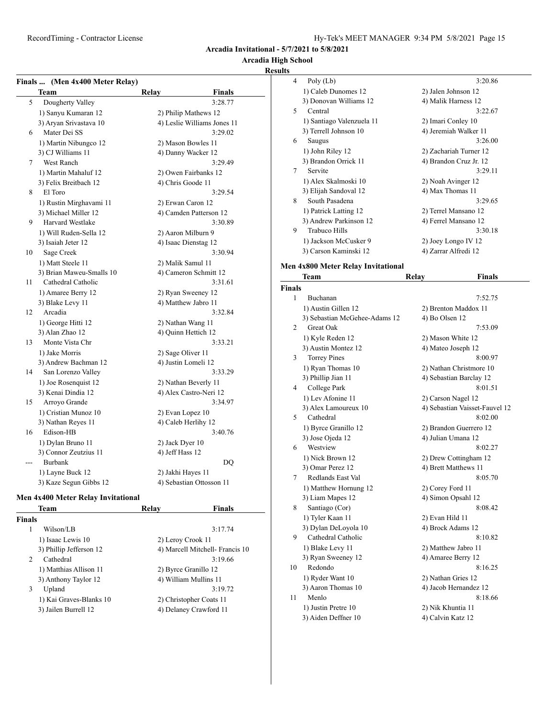# **Arcadia High School**

#### **Results**

|       | Finals  (Men 4x400 Meter Relay) |                             |  |
|-------|---------------------------------|-----------------------------|--|
|       | Team                            | <b>Finals</b><br>Relay      |  |
| 5     | Dougherty Valley                | 3:28.77                     |  |
|       | 1) Sanyu Kumaran 12             | 2) Philip Mathews 12        |  |
|       | 3) Aryan Srivastava 10          | 4) Leslie Williams Jones 11 |  |
| 6     | Mater Dei SS                    | 3:29.02                     |  |
|       | 1) Martin Nibungco 12           | 2) Mason Bowles 11          |  |
|       | 3) CJ Williams 11               | 4) Danny Wacker 12          |  |
| 7     | West Ranch                      | 3:29.49                     |  |
|       | 1) Martin Mahaluf 12            | 2) Owen Fairbanks 12        |  |
|       | 3) Felix Breitbach 12           | 4) Chris Goode 11           |  |
| 8     | El Toro                         | 3:29.54                     |  |
|       | 1) Rustin Mirghavami 11         | 2) Erwan Caron 12           |  |
|       | 3) Michael Miller 12            | 4) Camden Patterson 12      |  |
| 9     | <b>Harvard Westlake</b>         | 3:30.89                     |  |
|       | 1) Will Ruden-Sella 12          | 2) Aaron Milburn 9          |  |
|       | 3) Isaiah Jeter 12              | 4) Isaac Dienstag 12        |  |
| 10    | Sage Creek                      | 3:30.94                     |  |
|       | 1) Matt Steele 11               | 2) Malik Samul 11           |  |
|       | 3) Brian Maweu-Smalls 10        | 4) Cameron Schmitt 12       |  |
| 11    | Cathedral Catholic              | 3:31.61                     |  |
|       | 1) Amaree Berry 12              | 2) Ryan Sweeney 12          |  |
|       | 3) Blake Levy 11                | 4) Matthew Jabro 11         |  |
| 12    | Arcadia                         | 3:32.84                     |  |
|       | 1) George Hitti 12              | 2) Nathan Wang 11           |  |
|       | 3) Alan Zhao 12                 | 4) Ouinn Hettich 12         |  |
| 13    | Monte Vista Chr                 | 3:33.21                     |  |
|       | 1) Jake Morris                  | 2) Sage Oliver 11           |  |
|       | 3) Andrew Bachman 12            | 4) Justin Lomeli 12         |  |
| 14    | San Lorenzo Valley              | 3:33.29                     |  |
|       | 1) Joe Rosenquist 12            | 2) Nathan Beverly 11        |  |
|       | 3) Kenai Dindia 12              | 4) Alex Castro-Neri 12      |  |
| 15    | Arroyo Grande                   | 3:34.97                     |  |
|       | 1) Cristian Munoz 10            | 2) Evan Lopez 10            |  |
|       | 3) Nathan Reyes 11              | 4) Caleb Herlihy 12         |  |
| 16    | Edison-HB                       | 3:40.76                     |  |
|       | 1) Dylan Bruno 11               | 2) Jack Dyer 10             |  |
|       | 3) Connor Zeutzius 11           | 4) Jeff Hass 12             |  |
| $---$ | <b>Burbank</b>                  | DO                          |  |
|       | 1) Layne Buck 12                | 2) Jakhi Hayes 11           |  |
|       | 3) Kaze Segun Gibbs 12          | 4) Sebastian Ottosson 11    |  |

#### **Men 4x400 Meter Relay Invitational**

| Team                        | Relav             | <b>Finals</b>                   |
|-----------------------------|-------------------|---------------------------------|
| <b>Finals</b>               |                   |                                 |
| Wilson/LB<br>1              |                   | 3:17.74                         |
| 1) Isaac Lewis 10           | 2) Leroy Crook 11 |                                 |
| 3) Phillip Jefferson 12     |                   | 4) Marcell Mitchell- Francis 10 |
| Cathedral<br>$\mathfrak{D}$ |                   | 3:19.66                         |
| 1) Matthias Allison 11      |                   | 2) Byrce Granillo 12            |
| 3) Anthony Taylor 12        |                   | 4) William Mullins 11           |
| Upland<br>3                 |                   | 3:19.72                         |
| 1) Kai Graves-Blanks 10     |                   | 2) Christopher Coats 11         |
| 3) Jailen Burrell 12        |                   | 4) Delaney Crawford 11          |
|                             |                   |                                 |

| 4  | Poly (Lb)                 | 3:20.86                |
|----|---------------------------|------------------------|
|    | 1) Caleb Dunomes 12       | 2) Jalen Johnson 12    |
|    | 3) Donovan Williams 12    | 4) Malik Harness 12    |
| 5. | Central                   | 3:22.67                |
|    | 1) Santiago Valenzuela 11 | 2) Imari Conley 10     |
|    | 3) Terrell Johnson 10     | 4) Jeremiah Walker 11  |
| 6  | Saugus                    | 3:26.00                |
|    | 1) John Riley 12          | 2) Zachariah Turner 12 |
|    | 3) Brandon Orrick 11      | 4) Brandon Cruz Jr. 12 |
| 7  | Servite                   | 3:29.11                |
|    | 1) Alex Skalmoski 10      | 2) Noah Avinger 12     |
|    | 3) Elijah Sandoval 12     | 4) Max Thomas 11       |
| 8  | South Pasadena            | 3:29.65                |
|    | 1) Patrick Latting 12     | 2) Terrel Mansano 12   |
|    | 3) Andrew Parkinson 12    | 4) Ferrel Mansano 12   |
| 9  | Trabuco Hills             | 3:30.18                |
|    | 1) Jackson McCusker 9     | 2) Joey Longo IV 12    |
|    | 3) Carson Kaminski 12     | 4) Zarrar Alfredi 12   |
|    |                           |                        |

# **Men 4x800 Meter Relay Invitational<br>Team Relay**

|               | <b>Team</b>                   | Relay                 | <b>Finals</b>                  |
|---------------|-------------------------------|-----------------------|--------------------------------|
| <b>Finals</b> |                               |                       |                                |
| 1             | Buchanan                      |                       | 7:52.75                        |
|               | 1) Austin Gillen 12           | 2) Brenton Maddox 11  |                                |
|               | 3) Sebastian McGehee-Adams 12 | 4) Bo Olsen 12        |                                |
| 2             | Great Oak                     |                       | 7:53.09                        |
|               | 1) Kyle Reden 12              | 2) Mason White 12     |                                |
|               | 3) Austin Montez 12           | 4) Mateo Joseph 12    |                                |
| 3             | <b>Torrey Pines</b>           |                       | 8:00.97                        |
|               | 1) Ryan Thomas 10             |                       | 2) Nathan Christmore 10        |
|               | 3) Phillip Jian 11            |                       | 4) Sebastian Barclay 12        |
| 4             | College Park                  |                       | 8:01.51                        |
|               | 1) Lev Afonine 11             | 2) Carson Nagel 12    |                                |
|               | 3) Alex Lamoureux 10          |                       | 4) Sebastian Vaisset-Fauvel 12 |
| 5             | Cathedral                     |                       | 8:02.00                        |
|               | 1) Byrce Granillo 12          |                       | 2) Brandon Guerrero 12         |
|               | 3) Jose Ojeda 12              | 4) Julian Umana 12    |                                |
| 6             | Westview                      |                       | 8:02.27                        |
|               | 1) Nick Brown 12              |                       | 2) Drew Cottingham 12          |
|               | 3) Omar Perez 12              | 4) Brett Matthews 11  |                                |
| 7             | Redlands East Val             |                       | 8:05.70                        |
|               | 1) Matthew Hornung 12         | 2) Corey Ford 11      |                                |
|               | 3) Liam Mapes 12              | 4) Simon Opsahl 12    |                                |
| 8             | Santiago (Cor)                |                       | 8:08.42                        |
|               | 1) Tyler Kaan 11              | 2) Evan Hild 11       |                                |
|               | 3) Dylan DeLoyola 10          | 4) Brock Adams 12     |                                |
| 9             | Cathedral Catholic            |                       | 8:10.82                        |
|               | 1) Blake Levy 11              | 2) Matthew Jabro 11   |                                |
|               | 3) Ryan Sweeney 12            | 4) Amaree Berry 12    |                                |
| 10            | Redondo                       |                       | 8:16.25                        |
|               | 1) Ryder Want 10              | 2) Nathan Gries 12    |                                |
|               | 3) Aaron Thomas 10            | 4) Jacob Hernandez 12 |                                |
| 11            | Menlo                         |                       | 8:18.66                        |
|               | 1) Justin Pretre 10           | 2) Nik Khuntia 11     |                                |
|               | 3) Aiden Deffner 10           | 4) Calvin Katz 12     |                                |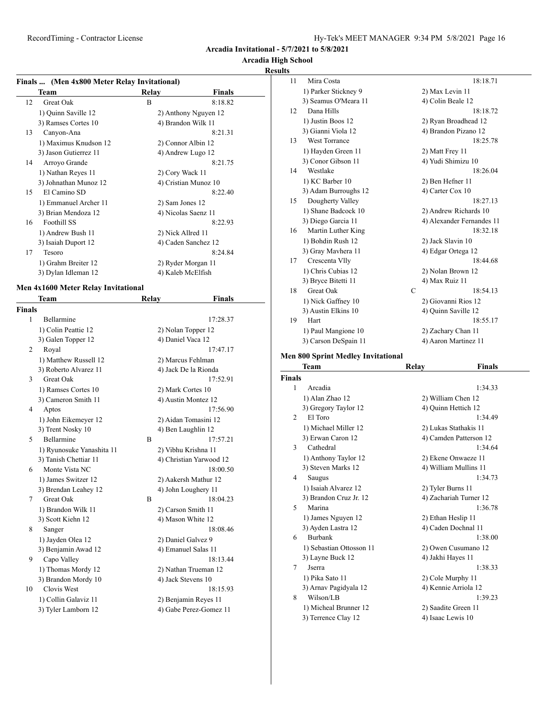# **Arcadia High School**

#### **Results**

| Finals  (Men 4x800 Meter Relay Invitational) |  |
|----------------------------------------------|--|
|                                              |  |

| г шаіз … — улісн табоб імсісі. Іхсіа ў Інтіtational į |                       |                    |                      |  |
|-------------------------------------------------------|-----------------------|--------------------|----------------------|--|
|                                                       | Team                  | Relay              | Finals               |  |
| 12                                                    | Great Oak             | B                  | 8:18.82              |  |
|                                                       | 1) Quinn Saville 12   |                    | 2) Anthony Nguyen 12 |  |
|                                                       | 3) Ramses Cortes 10   |                    | 4) Brandon Wilk 11   |  |
| 13                                                    | Canyon-Ana            |                    | 8:21.31              |  |
|                                                       | 1) Maximus Knudson 12 | 2) Connor Albin 12 |                      |  |
|                                                       | 3) Jason Gutierrez 11 |                    | 4) Andrew Lugo 12    |  |
| 14                                                    | Arroyo Grande         |                    | 8:21.75              |  |
|                                                       | 1) Nathan Reyes 11    | 2) Cory Wack 11    |                      |  |
|                                                       | 3) Johnathan Munoz 12 |                    | 4) Cristian Munoz 10 |  |
| 15                                                    | El Camino SD          |                    | 8:22.40              |  |
|                                                       | 1) Emmanuel Archer 11 | 2) Sam Jones 12    |                      |  |
|                                                       | 3) Brian Mendoza 12   |                    | 4) Nicolas Saenz 11  |  |
| 16                                                    | Foothill SS           |                    | 8:22.93              |  |
|                                                       | 1) Andrew Bush 11     | 2) Nick Allred 11  |                      |  |
|                                                       | 3) Isaiah Duport 12   |                    | 4) Caden Sanchez 12  |  |
| 17                                                    | Tesoro                |                    | 8:24.84              |  |
|                                                       | 1) Grahm Breiter 12   |                    | 2) Ryder Morgan 11   |  |
|                                                       | 3) Dylan Idleman 12   | 4) Kaleb McElfish  |                      |  |
|                                                       |                       |                    |                      |  |

#### **Men 4x1600 Meter Relay Invitational**

|                | Team                      | Relay |                      | <b>Finals</b>           |  |
|----------------|---------------------------|-------|----------------------|-------------------------|--|
| <b>Finals</b>  |                           |       |                      |                         |  |
| 1              | Bellarmine                |       |                      | 17:28.37                |  |
|                | 1) Colin Peattie 12       |       | 2) Nolan Topper 12   |                         |  |
|                | 3) Galen Topper 12        |       | 4) Daniel Vaca 12    |                         |  |
| $\overline{2}$ | Royal                     |       |                      | 17:47.17                |  |
|                | 1) Matthew Russell 12     |       | 2) Marcus Fehlman    |                         |  |
|                | 3) Roberto Alvarez 11     |       | 4) Jack De la Rionda |                         |  |
| 3              | Great Oak                 |       |                      | 17:52.91                |  |
|                | 1) Ramses Cortes 10       |       | 2) Mark Cortes 10    |                         |  |
|                | 3) Cameron Smith 11       |       | 4) Austin Montez 12  |                         |  |
| 4              | Aptos                     |       |                      | 17:56.90                |  |
|                | 1) John Eikemeyer 12      |       | 2) Aidan Tomasini 12 |                         |  |
|                | 3) Trent Nosky 10         |       | 4) Ben Laughlin 12   |                         |  |
| 5              | Bellarmine                | B     |                      | 17:57.21                |  |
|                | 1) Ryunosuke Yanashita 11 |       | 2) Vibhu Krishna 11  |                         |  |
|                | 3) Tanish Chettiar 11     |       |                      | 4) Christian Yarwood 12 |  |
| 6              | Monte Vista NC            |       |                      | 18:00.50                |  |
|                | 1) James Switzer 12       |       | 2) Aakersh Mathur 12 |                         |  |
|                | 3) Brendan Leahey 12      |       | 4) John Loughery 11  |                         |  |
| 7              | <b>Great Oak</b>          | B     |                      | 18:04.23                |  |
|                | 1) Brandon Wilk 11        |       | 2) Carson Smith 11   |                         |  |
|                | 3) Scott Kiehn 12         |       | 4) Mason White 12    |                         |  |
| 8              | Sanger                    |       |                      | 18:08.46                |  |
|                | 1) Jayden Olea 12         |       | 2) Daniel Galvez 9   |                         |  |
|                | 3) Benjamin Awad 12       |       | 4) Emanuel Salas 11  |                         |  |
| 9              | Capo Valley               |       |                      | 18:13.44                |  |
|                | 1) Thomas Mordy 12        |       | 2) Nathan Trueman 12 |                         |  |
|                | 3) Brandon Mordy 10       |       | 4) Jack Stevens 10   |                         |  |
| 10             | Clovis West               |       |                      | 18:15.93                |  |
|                | 1) Collin Galaviz 11      |       | 2) Benjamin Reyes 11 |                         |  |
|                | 3) Tyler Lamborn 12       |       |                      | 4) Gabe Perez-Gomez 11  |  |
|                |                           |       |                      |                         |  |

| 11 | Mira Costa           |             | 18:18.71                  |
|----|----------------------|-------------|---------------------------|
|    | 1) Parker Stickney 9 |             | 2) Max Levin 11           |
|    | 3) Seamus O'Meara 11 |             | 4) Colin Beale 12         |
| 12 | Dana Hills           |             | 18:18.72                  |
|    | 1) Justin Boos 12    |             | 2) Ryan Broadhead 12      |
|    | 3) Gianni Viola 12   |             | 4) Brandon Pizano 12      |
| 13 | <b>West Torrance</b> |             | 18:25.78                  |
|    | 1) Hayden Green 11   |             | 2) Matt Frey 11           |
|    | 3) Conor Gibson 11   |             | 4) Yudi Shimizu 10        |
| 14 | Westlake             |             | 18:26.04                  |
|    | 1) KC Barber 10      |             | 2) Ben Hefner 11          |
|    | 3) Adam Burroughs 12 |             | 4) Carter Cox 10          |
| 15 | Dougherty Valley     |             | 18:27.13                  |
|    | 1) Shane Badcock 10  |             | 2) Andrew Richards 10     |
|    | 3) Diego Garcia 11   |             | 4) Alexander Fernandes 11 |
| 16 | Martin Luther King   |             | 18:32.18                  |
|    | 1) Bohdin Rush 12    |             | 2) Jack Slavin 10         |
|    | 3) Gray Mavhera 11   |             | 4) Edgar Ortega 12        |
| 17 | Crescenta Vlly       |             | 18:44.68                  |
|    | 1) Chris Cubias 12   |             | 2) Nolan Brown 12         |
|    | 3) Bryce Bitetti 11  |             | 4) Max Ruiz 11            |
| 18 | <b>Great Oak</b>     | $\mathbf C$ | 18:54.13                  |
|    | 1) Nick Gaffney 10   |             | 2) Giovanni Rios 12       |
|    | 3) Austin Elkins 10  |             | 4) Quinn Saville 12       |
| 19 | Hart                 |             | 18:55.17                  |
|    | 1) Paul Mangione 10  |             | 2) Zachary Chan 11        |
|    | 3) Carson DeSpain 11 |             | 4) Aaron Martinez 11      |
|    |                      |             |                           |

# **Men 800 Sprint Medley Invitational**

|               | Team                     | Relay                | Finals                 |
|---------------|--------------------------|----------------------|------------------------|
| <b>Finals</b> |                          |                      |                        |
| 1             | Arcadia                  |                      | 1:34.33                |
|               | 1) Alan Zhao 12          | 2) William Chen 12   |                        |
|               | 3) Gregory Taylor 12     | 4) Quinn Hettich 12  |                        |
| $\mathcal{L}$ | El Toro                  |                      | 1:34.49                |
|               | 1) Michael Miller 12     |                      | 2) Lukas Stathakis 11  |
|               | 3) Erwan Caron 12        |                      | 4) Camden Patterson 12 |
| $\mathbf{3}$  | Cathedral                |                      | 1:34.64                |
|               | 1) Anthony Taylor 12     |                      | 2) Ekene Onwaeze 11    |
|               | 3) Steven Marks 12       |                      | 4) William Mullins 11  |
| 4             | Saugus                   |                      | 1:34.73                |
|               | 1) Isaiah Alvarez 12     | 2) Tyler Burns 11    |                        |
|               | 3) Brandon Cruz Jr. 12   |                      | 4) Zachariah Turner 12 |
| 5             | Marina                   |                      | 1:36.78                |
|               | 1) James Nguyen 12       | 2) Ethan Heslip 11   |                        |
|               | 3) Ayden Lastra 12       | 4) Caden Dochnal 11  |                        |
| 6             | <b>Burbank</b>           |                      | 1:38.00                |
|               | 1) Sebastian Ottosson 11 |                      | 2) Owen Cusumano 12    |
|               | 3) Layne Buck 12         | 4) Jakhi Hayes 11    |                        |
| 7             | Jserra                   |                      | 1:38.33                |
|               | 1) Pika Sato 11          | 2) Cole Murphy 11    |                        |
|               | 3) Arnav Pagidyala 12    | 4) Kennie Arriola 12 |                        |
| 8             | Wilson/LB                |                      | 1:39.23                |
|               | 1) Micheal Brunner 12    | 2) Saadite Green 11  |                        |
|               | 3) Terrence Clay 12      | 4) Isaac Lewis 10    |                        |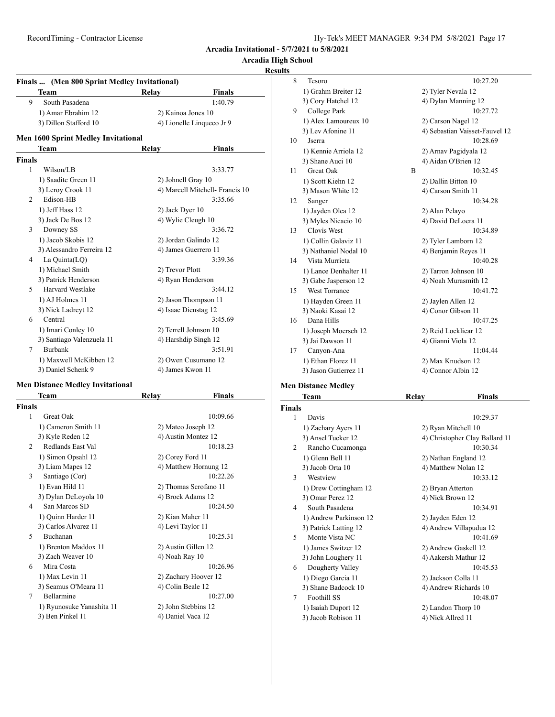# **Arcadia High School**

#### **Results**

| Finals  (Men 800 Sprint Medley Invitational) |                                            |                    |                                 |  |
|----------------------------------------------|--------------------------------------------|--------------------|---------------------------------|--|
|                                              | <b>Team</b>                                | Relay              | <b>Finals</b>                   |  |
| 9                                            | South Pasadena                             |                    | 1:40.79                         |  |
|                                              | 1) Amar Ebrahim 12                         | 2) Kainoa Jones 10 |                                 |  |
|                                              | 3) Dillon Stafford 10                      |                    | 4) Lionelle Linqueco Jr 9       |  |
|                                              | <b>Men 1600 Sprint Medley Invitational</b> |                    |                                 |  |
|                                              | Team                                       | Relay              | <b>Finals</b>                   |  |
| <b>Finals</b>                                |                                            |                    |                                 |  |
| 1                                            | Wilson/LB                                  |                    | 3:33.77                         |  |
|                                              | 1) Saadite Green 11                        | 2) Johnell Gray 10 |                                 |  |
|                                              | 3) Leroy Crook 11                          |                    | 4) Marcell Mitchell- Francis 10 |  |
| 2                                            | Edison-HB                                  |                    | 3:35.66                         |  |
|                                              | 1) Jeff Hass 12                            | 2) Jack Dyer 10    |                                 |  |
|                                              | 3) Jack De Bos 12                          | 4) Wylie Cleugh 10 |                                 |  |
| 3                                            | Downey SS                                  |                    | 3:36.72                         |  |
|                                              | 1) Jacob Skobis 12                         |                    | 2) Jordan Galindo 12            |  |
|                                              | 3) Alessandro Ferreira 12                  |                    | 4) James Guerrero 11            |  |
| 4                                            | La Quinta(LQ)                              |                    | 3:39.36                         |  |
|                                              | 1) Michael Smith                           | 2) Trevor Plott    |                                 |  |
|                                              | 3) Patrick Henderson                       | 4) Ryan Henderson  |                                 |  |
| 5                                            | <b>Harvard Westlake</b>                    |                    | 3:44.12                         |  |
|                                              | 1) AJ Holmes 11                            |                    | 2) Jason Thompson 11            |  |
|                                              | 3) Nick Ladreyt 12                         |                    | 4) Isaac Dienstag 12            |  |
| 6                                            | Central                                    |                    | 3:45.69                         |  |
|                                              | 1) Imari Conley 10                         |                    | 2) Terrell Johnson 10           |  |
|                                              | 3) Santiago Valenzuela 11                  |                    | 4) Harshdip Singh 12            |  |
| 7                                            | <b>Burbank</b>                             |                    | 3:51.91                         |  |
|                                              | 1) Maxwell McKibben 12                     |                    | 2) Owen Cusumano 12             |  |
|                                              | 3) Daniel Schenk 9                         | 4) James Kwon 11   |                                 |  |

#### **Men Distance Medley Invitational**

|                | Team                      | Relay             | Finals                |
|----------------|---------------------------|-------------------|-----------------------|
| <b>Finals</b>  |                           |                   |                       |
| 1              | <b>Great Oak</b>          |                   | 10:09.66              |
|                | 1) Cameron Smith 11       |                   | 2) Mateo Joseph 12    |
|                | 3) Kyle Reden 12          |                   | 4) Austin Montez 12   |
| $\mathfrak{D}$ | Redlands East Val         |                   | 10:18.23              |
|                | 1) Simon Opsahl 12        | 2) Corey Ford 11  |                       |
|                | 3) Liam Mapes 12          |                   | 4) Matthew Hornung 12 |
| 3              | Santiago (Cor)            |                   | 10:22.26              |
|                | 1) Evan Hild 11           |                   | 2) Thomas Scrofano 11 |
|                | 3) Dylan DeLoyola 10      |                   | 4) Brock Adams 12     |
| 4              | San Marcos SD             |                   | 10:24.50              |
|                | 1) Quinn Harder 11        | 2) Kian Maher 11  |                       |
|                | 3) Carlos Alvarez 11      | 4) Levi Taylor 11 |                       |
| 5              | Buchanan                  |                   | 10:25.31              |
|                | 1) Brenton Maddox 11      |                   | 2) Austin Gillen 12   |
|                | 3) Zach Weaver 10         | 4) Noah Ray 10    |                       |
| 6              | Mira Costa                |                   | 10:26.96              |
|                | 1) Max Levin 11           |                   | 2) Zachary Hoover 12  |
|                | 3) Seamus O'Meara 11      | 4) Colin Beale 12 |                       |
| 7              | Bellarmine                |                   | 10:27.00              |
|                | 1) Ryunosuke Yanashita 11 |                   | 2) John Stebbins 12   |
|                | 3) Ben Pinkel 11          | 4) Daniel Vaca 12 |                       |

| 8  | Tesoro                |   | 10:27.20                       |
|----|-----------------------|---|--------------------------------|
|    | 1) Grahm Breiter 12   |   | 2) Tyler Nevala 12             |
|    | 3) Cory Hatchel 12    |   | 4) Dylan Manning 12            |
| 9  | College Park          |   | 10:27.72                       |
|    | 1) Alex Lamoureux 10  |   | 2) Carson Nagel 12             |
|    | 3) Lev Afonine 11     |   | 4) Sebastian Vaisset-Fauvel 12 |
| 10 | Jserra                |   | 10:28.69                       |
|    | 1) Kennie Arriola 12  |   | 2) Arnav Pagidyala 12          |
|    | 3) Shane Auci 10      |   | 4) Aidan O'Brien 12            |
| 11 | <b>Great Oak</b>      | B | 10:32.45                       |
|    | 1) Scott Kiehn 12     |   | 2) Dallin Bitton 10            |
|    | 3) Mason White 12     |   | 4) Carson Smith 11             |
| 12 | Sanger                |   | 10:34.28                       |
|    | 1) Jayden Olea 12     |   | 2) Alan Pelayo                 |
|    | 3) Myles Nicacio 10   |   | 4) David DeLoera 11            |
| 13 | Clovis West           |   | 10:34.89                       |
|    | 1) Collin Galaviz 11  |   | 2) Tyler Lamborn 12            |
|    | 3) Nathaniel Nodal 10 |   | 4) Benjamin Reyes 11           |
| 14 | Vista Murrieta        |   | 10:40.28                       |
|    | 1) Lance Denhalter 11 |   | 2) Tarron Johnson 10           |
|    | 3) Gabe Jasperson 12  |   | 4) Noah Murasmith 12           |
| 15 | <b>West Torrance</b>  |   | 10:41.72                       |
|    | 1) Hayden Green 11    |   | 2) Jaylen Allen 12             |
|    | 3) Naoki Kasai 12     |   | 4) Conor Gibson 11             |
| 16 | Dana Hills            |   | 10:47.25                       |
|    | 1) Joseph Moersch 12  |   | 2) Reid Lockliear 12           |
|    | 3) Jai Dawson 11      |   | 4) Gianni Viola 12             |
| 17 | Canyon-Ana            |   | 11:04.44                       |
|    | 1) Ethan Florez 11    |   | 2) Max Knudson 12              |
|    | 3) Jason Gutierrez 11 |   | 4) Connor Albin 12             |
|    |                       |   |                                |

# **Men Distance Medley**

|                       | Team                   | Relay             | Finals                         |
|-----------------------|------------------------|-------------------|--------------------------------|
| <b>Finals</b>         |                        |                   |                                |
| 1                     | Davis                  |                   | 10:29.37                       |
|                       | 1) Zachary Ayers 11    |                   | 2) Ryan Mitchell 10            |
|                       | 3) Ansel Tucker 12     |                   | 4) Christopher Clay Ballard 11 |
| 2                     | Rancho Cucamonga       |                   | 10:30.34                       |
|                       | 1) Glenn Bell 11       |                   | 2) Nathan England 12           |
|                       | 3) Jacob Orta 10       |                   | 4) Matthew Nolan 12            |
| 3                     | Westview               |                   | 10:33.12                       |
|                       | 1) Drew Cottingham 12  | 2) Bryan Atterton |                                |
|                       | 3) Omar Perez 12       | 4) Nick Brown 12  |                                |
| 4                     | South Pasadena         |                   | 10:34.91                       |
|                       | 1) Andrew Parkinson 12 | 2) Jayden Eden 12 |                                |
|                       | 3) Patrick Latting 12  |                   | 4) Andrew Villapudua 12        |
| $\tilde{\mathcal{L}}$ | Monte Vista NC         |                   | 10:41.69                       |
|                       | 1) James Switzer 12    |                   | 2) Andrew Gaskell 12           |
|                       | 3) John Loughery 11    |                   | 4) Aakersh Mathur 12           |
| 6                     | Dougherty Valley       |                   | 10:45.53                       |
|                       | 1) Diego Garcia 11     |                   | 2) Jackson Colla 11            |
|                       | 3) Shane Badcock 10    |                   | 4) Andrew Richards 10          |
| 7                     | Foothill SS            |                   | 10:48.07                       |
|                       | 1) Isaiah Duport 12    |                   | 2) Landon Thorp 10             |
|                       | 3) Jacob Robison 11    | 4) Nick Allred 11 |                                |
|                       |                        |                   |                                |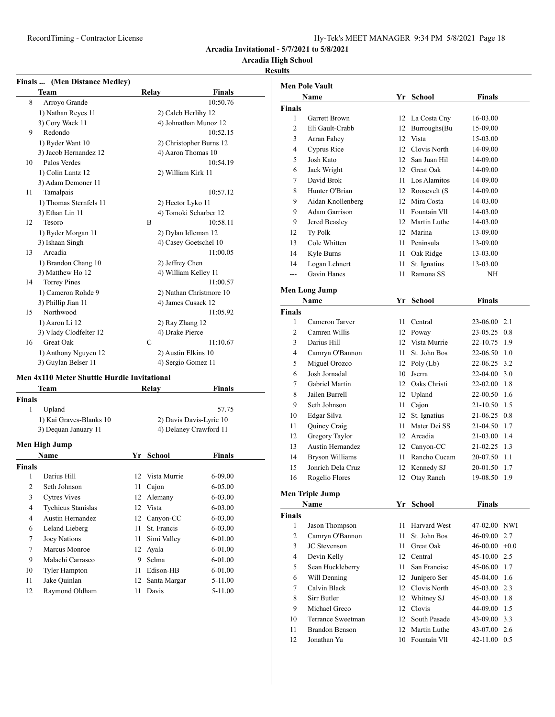RecordTiming - Contractor License

| Hy-Tek's MEET MANAGER 9:34 PM 5/8/2021 Page 18 |  |  |  |  |
|------------------------------------------------|--|--|--|--|
|------------------------------------------------|--|--|--|--|

**Arcadia Invitational - 5/7/2021 to 5/8/2021**

# **Arcadia High School**

# **Results**

| Finals  (Men Distance Medley) |                        |              |                         |  |
|-------------------------------|------------------------|--------------|-------------------------|--|
|                               | <b>Team</b>            | <b>Relay</b> | <b>Finals</b>           |  |
| 8                             | Arroyo Grande          |              | 10:50.76                |  |
|                               | 1) Nathan Reyes 11     |              | 2) Caleb Herlihy 12     |  |
|                               | 3) Cory Wack 11        |              | 4) Johnathan Munoz 12   |  |
| 9                             | Redondo                |              | 10:52.15                |  |
|                               | 1) Ryder Want 10       |              | 2) Christopher Burns 12 |  |
|                               | 3) Jacob Hernandez 12  |              | 4) Aaron Thomas 10      |  |
| 10                            | Palos Verdes           |              | 10:54.19                |  |
|                               | 1) Colin Lantz 12      |              | 2) William Kirk 11      |  |
|                               | 3) Adam Demoner 11     |              |                         |  |
| 11                            | Tamalpais              |              | 10:57.12                |  |
|                               | 1) Thomas Sternfels 11 |              | 2) Hector Lyko 11       |  |
|                               | 3) Ethan Lin 11        |              | 4) Tomoki Scharber 12   |  |
| 12                            | Tesoro                 | B            | 10:58.11                |  |
|                               | 1) Ryder Morgan 11     |              | 2) Dylan Idleman 12     |  |
|                               | 3) Ishaan Singh        |              | 4) Casey Goetschel 10   |  |
| 13                            | Arcadia                |              | 11:00.05                |  |
|                               | 1) Brandon Chang 10    |              | 2) Jeffrey Chen         |  |
|                               | 3) Matthew Ho 12       |              | 4) William Kelley 11    |  |
| 14                            | <b>Torrey Pines</b>    |              | 11:00.57                |  |
|                               | 1) Cameron Rohde 9     |              | 2) Nathan Christmore 10 |  |
|                               | 3) Phillip Jian 11     |              | 4) James Cusack 12      |  |
| 15                            | Northwood              |              | 11:05.92                |  |
|                               | 1) Aaron Li 12         |              | 2) Ray Zhang 12         |  |
|                               | 3) Vlady Clodfelter 12 |              | 4) Drake Pierce         |  |
| 16                            | <b>Great Oak</b>       | C            | 11:10.67                |  |
|                               | 1) Anthony Nguyen 12   |              | 2) Austin Elkins 10     |  |
|                               | 3) Guylan Belser 11    |              | 4) Sergio Gomez 11      |  |
|                               |                        |              |                         |  |

### **Men 4x110 Meter Shuttle Hurdle Invitational**

|               | Team                        |    | Relay                   | <b>Finals</b>    |  |
|---------------|-----------------------------|----|-------------------------|------------------|--|
| Finals        |                             |    |                         |                  |  |
| 1             | Upland                      |    |                         | 57.75            |  |
|               | 1) Kai Graves-Blanks 10     |    | 2) Davis Davis-Lyric 10 |                  |  |
|               | 3) Dequan January 11        |    | 4) Delaney Crawford 11  |                  |  |
|               | Men High Jump               |    |                         |                  |  |
|               | <b>Name</b>                 |    | Yr School               | <b>Finals</b>    |  |
| Finals        |                             |    |                         |                  |  |
| 1             | Darius Hill                 |    | 12 Vista Murrie         | $6 - 09.00$      |  |
| 2             | Seth Johnson                | 11 | Cajon                   | 6-05.00          |  |
| $\mathcal{D}$ | $C$ theory $U_{\text{tri}}$ |    | 12.41                   | $\epsilon$ 02.00 |  |

| 3  | <b>Cytres Vives</b>       |    | 12 Alemany      | $6 - 03.00$ |
|----|---------------------------|----|-----------------|-------------|
| 4  | <b>Tychicus Stanislas</b> |    | 12 Vista        | $6 - 03.00$ |
| 4  | Austin Hernandez          |    | 12 Canyon-CC    | $6 - 03.00$ |
| 6  | Leland Lieberg            | 11 | St. Francis     | $6 - 03.00$ |
| 7  | Joey Nations              | 11 | Simi Valley     | $6 - 01.00$ |
| 7  | Marcus Monroe             |    | 12 Ayala        | $6 - 01.00$ |
| 9  | Malachi Carrasco          | 9  | Selma           | $6 - 01.00$ |
| 10 | <b>Tyler Hampton</b>      | 11 | Edison-HB       | $6 - 01.00$ |
| 11 | Jake Ouinlan              |    | 12 Santa Margar | 5-11.00     |
| 12 | Raymond Oldham            | 11 | Davis           | 5-11.00     |

| <b>Men Pole Vault</b> |                         |      |                  |               |        |
|-----------------------|-------------------------|------|------------------|---------------|--------|
|                       | Name                    |      | Yr School        | Finals        |        |
| <b>Finals</b>         |                         |      |                  |               |        |
| 1                     | Garrett Brown           |      | 12 La Costa Cny  | 16-03.00      |        |
| $\overline{2}$        | Eli Gault-Crabb         | 12   | Burroughs(Bu     | 15-09.00      |        |
| 3                     | Arran Fahey             | 12   | Vista            | 15-03.00      |        |
| 4                     | Cyprus Rice             |      | 12 Clovis North  | 14-09.00      |        |
| 5                     | Josh Kato               |      | 12 San Juan Hil  | 14-09.00      |        |
| 6                     | Jack Wright             |      | 12 Great Oak     | 14-09.00      |        |
| 7                     | David Brok              |      | 11 Los Alamitos  | 14-09.00      |        |
| 8                     | Hunter O'Brian          |      | 12 Roosevelt (S  | 14-09.00      |        |
| 9                     | Aidan Knollenberg       |      | 12 Mira Costa    | 14-03.00      |        |
| 9                     | Adam Garrison           |      | 11 Fountain VII  | 14-03.00      |        |
| 9                     | Jered Beasley           |      | 12 Martin Luthe  | 14-03.00      |        |
| 12                    | Ty Polk                 |      | 12 Marina        | 13-09.00      |        |
| 13                    | Cole Whitten            |      | 11 Peninsula     | 13-09.00      |        |
| 14                    | Kyle Burns              |      | 11 Oak Ridge     | 13-03.00      |        |
| 14                    | Logan Lehnert           | 11 - | St. Ignatius     | 13-03.00      |        |
| $---$                 | Gavin Hanes             | 11   | Ramona SS        | ΝH            |        |
|                       | <b>Men Long Jump</b>    |      |                  |               |        |
|                       | Name                    |      | Yr School        | <b>Finals</b> |        |
| <b>Finals</b>         |                         |      |                  |               |        |
| 1                     | Cameron Tarver          |      | 11 Central       | 23-06.00 2.1  |        |
| $\overline{c}$        | Camren Willis           |      | 12 Poway         | 23-05.25 0.8  |        |
| 3                     | Darius Hill             |      | 12 Vista Murrie  | 22-10.75 1.9  |        |
| 4                     | Camryn O'Bannon         |      | 11 St. John Bos  | 22-06.50 1.0  |        |
| 5                     | Miguel Orozco           |      | 12 Poly (Lb)     | 22-06.25 3.2  |        |
| 6                     | Josh Jornadal           |      | 10 Jserra        | 22-04.00 3.0  |        |
| 7                     | Gabriel Martin          |      | 12 Oaks Christi  | 22-02.00 1.8  |        |
| 8                     | Jailen Burrell          |      | 12 Upland        | 22-00.50 1.6  |        |
| 9                     | Seth Johnson            | 11 - | Cajon            | 21-10.50 1.5  |        |
| 10                    | Edgar Silva             | 12   | St. Ignatius     | 21-06.25 0.8  |        |
| 11                    | Quincy Craig            | 11   | Mater Dei SS     | 21-04.50 1.7  |        |
| 12                    | Gregory Taylor          |      | 12 Arcadia       | 21-03.00 1.4  |        |
| 13                    | <b>Austin Hernandez</b> |      | 12 Canyon-CC     | 21-02.25 1.3  |        |
| 14                    | <b>Bryson Williams</b>  |      | 11 Rancho Cucam  | 20-07.50 1.1  |        |
| 15                    | Jonrich Dela Cruz       |      | 12 Kennedy SJ    | 20-01.50 1.7  |        |
| 16                    | Rogelio Flores          |      | 12 Otay Ranch    | 19-08.50      | -1.9   |
|                       |                         |      |                  |               |        |
|                       | <b>Men Triple Jump</b>  |      |                  |               |        |
|                       | Name                    |      | Yr School        | <b>Finals</b> |        |
| <b>Finals</b>         |                         |      |                  |               |        |
| 1                     | Jason Thompson          | 11   | Harvard West     | 47-02.00 NWI  |        |
| 2                     | Camryn O'Bannon         | 11   | St. John Bos     | 46-09.00      | 2.7    |
| 3                     | JC Stevenson            | 11 - | <b>Great Oak</b> | 46-00.00      | $+0.0$ |
| 4                     | Devin Kelly             |      | 12 Central       | 45-10.00      | 2.5    |
| 5                     | Sean Huckleberry        | 11   | San Francisc     | 45-06.00      | 1.7    |
| 6                     | Will Denning            | 12   | Junipero Ser     | 45-04.00 1.6  |        |
| 7                     | Calvin Black            |      | 12 Clovis North  | 45-03.00      | 2.3    |
| 8                     | Sirr Butler             |      | 12 Whitney SJ    | 45-03.00 1.8  |        |
| 9                     | Michael Greco           |      | 12 Clovis        | 44-09.00 1.5  |        |
| 10                    | Terrance Sweetman       |      | 12 South Pasade  | 43-09.00 3.3  |        |
| 11                    | <b>Brandon Benson</b>   |      | 12 Martin Luthe  | 43-07.00 2.6  |        |
| 12                    | Jonathan Yu             |      | 10 Fountain VII  | 42-11.00 0.5  |        |
|                       |                         |      |                  |               |        |